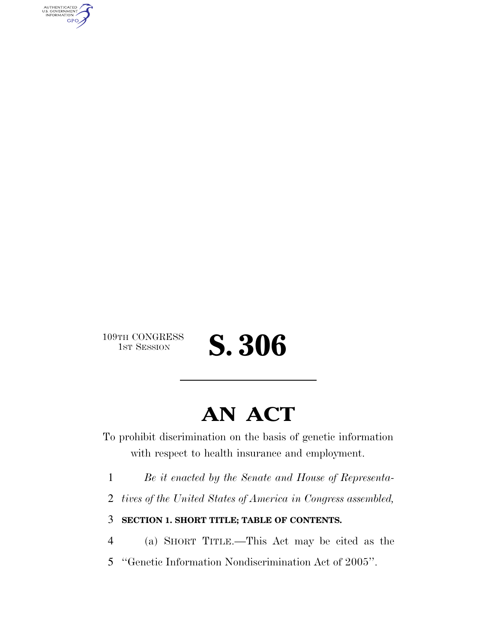AUTHENTICATED<br>U.S. GOVERNMENT<br>INFORMATION **GPO** 

109TH CONGRESS<br>1st Session

# **AN ACT**

1ST SESSION **S. 306**

To prohibit discrimination on the basis of genetic information with respect to health insurance and employment.

1 *Be it enacted by the Senate and House of Representa-*

2 *tives of the United States of America in Congress assembled,*

3 **SECTION 1. SHORT TITLE; TABLE OF CONTENTS.**

4 (a) SHORT TITLE.—This Act may be cited as the

5 ''Genetic Information Nondiscrimination Act of 2005''.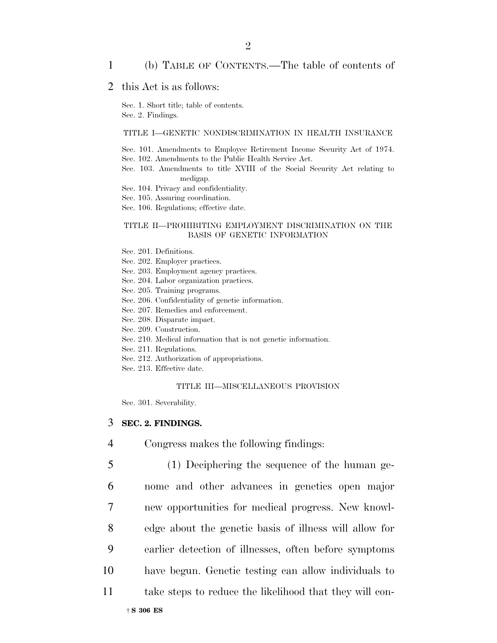## 1 (b) TABLE OF CONTENTS.—The table of contents of

## 2 this Act is as follows:

Sec. 1. Short title; table of contents. Sec. 2. Findings.

#### TITLE I—GENETIC NONDISCRIMINATION IN HEALTH INSURANCE

Sec. 101. Amendments to Employee Retirement Income Security Act of 1974. Sec. 102. Amendments to the Public Health Service Act.

Sec. 103. Amendments to title XVIII of the Social Security Act relating to medigap.

Sec. 104. Privacy and confidentiality.

Sec. 105. Assuring coordination.

Sec. 106. Regulations; effective date.

#### TITLE II—PROHIBITING EMPLOYMENT DISCRIMINATION ON THE BASIS OF GENETIC INFORMATION

- Sec. 201. Definitions.
- Sec. 202. Employer practices.
- Sec. 203. Employment agency practices.
- Sec. 204. Labor organization practices.
- Sec. 205. Training programs.
- Sec. 206. Confidentiality of genetic information.
- Sec. 207. Remedies and enforcement.
- Sec. 208. Disparate impact.
- Sec. 209. Construction.
- Sec. 210. Medical information that is not genetic information.
- Sec. 211. Regulations.
- Sec. 212. Authorization of appropriations.
- Sec. 213. Effective date.

#### TITLE III—MISCELLANEOUS PROVISION

Sec. 301. Severability.

#### 3 **SEC. 2. FINDINGS.**

- 4 Congress makes the following findings:
- 5 (1) Deciphering the sequence of the human ge-
- 6 nome and other advances in genetics open major
- 7 new opportunities for medical progress. New knowl-
- 8 edge about the genetic basis of illness will allow for
- 9 earlier detection of illnesses, often before symptoms
- 10 have begun. Genetic testing can allow individuals to
- 11 take steps to reduce the likelihood that they will con-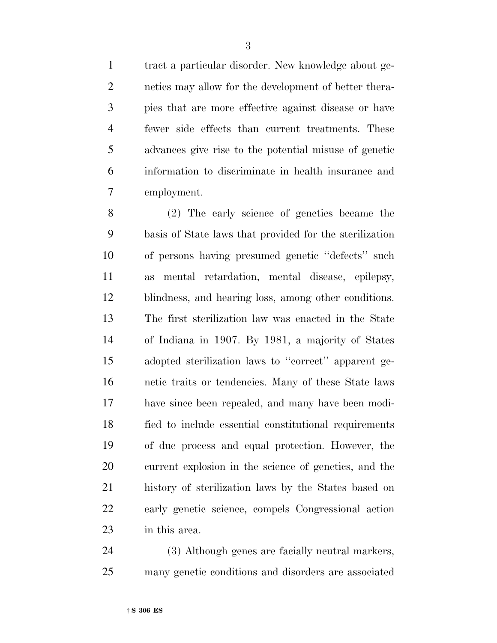tract a particular disorder. New knowledge about ge- netics may allow for the development of better thera- pies that are more effective against disease or have fewer side effects than current treatments. These advances give rise to the potential misuse of genetic information to discriminate in health insurance and employment.

 (2) The early science of genetics became the basis of State laws that provided for the sterilization of persons having presumed genetic ''defects'' such as mental retardation, mental disease, epilepsy, blindness, and hearing loss, among other conditions. The first sterilization law was enacted in the State of Indiana in 1907. By 1981, a majority of States adopted sterilization laws to ''correct'' apparent ge- netic traits or tendencies. Many of these State laws have since been repealed, and many have been modi- fied to include essential constitutional requirements of due process and equal protection. However, the current explosion in the science of genetics, and the history of sterilization laws by the States based on early genetic science, compels Congressional action in this area.

 (3) Although genes are facially neutral markers, many genetic conditions and disorders are associated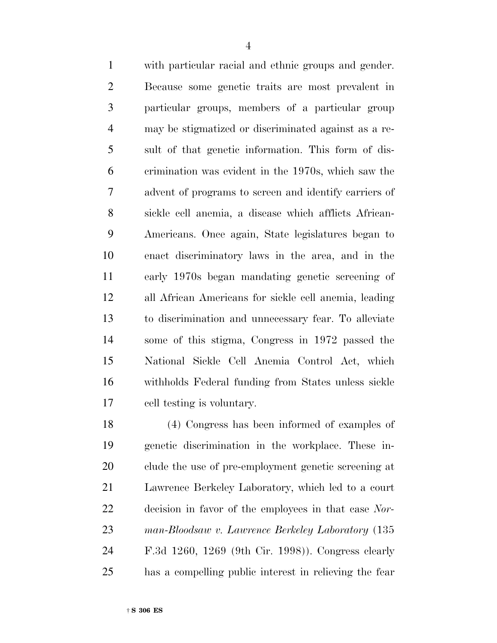with particular racial and ethnic groups and gender. Because some genetic traits are most prevalent in particular groups, members of a particular group may be stigmatized or discriminated against as a re- sult of that genetic information. This form of dis- crimination was evident in the 1970s, which saw the advent of programs to screen and identify carriers of sickle cell anemia, a disease which afflicts African- Americans. Once again, State legislatures began to enact discriminatory laws in the area, and in the early 1970s began mandating genetic screening of all African Americans for sickle cell anemia, leading to discrimination and unnecessary fear. To alleviate some of this stigma, Congress in 1972 passed the National Sickle Cell Anemia Control Act, which withholds Federal funding from States unless sickle cell testing is voluntary.

 (4) Congress has been informed of examples of genetic discrimination in the workplace. These in- clude the use of pre-employment genetic screening at Lawrence Berkeley Laboratory, which led to a court decision in favor of the employees in that case *Nor- man-Bloodsaw v. Lawrence Berkeley Laboratory* (135 F.3d 1260, 1269 (9th Cir. 1998)). Congress clearly has a compelling public interest in relieving the fear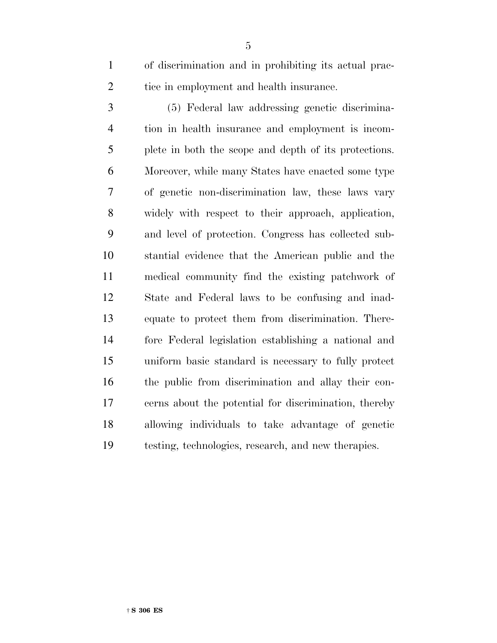of discrimination and in prohibiting its actual prac-2 tice in employment and health insurance.

 (5) Federal law addressing genetic discrimina- tion in health insurance and employment is incom- plete in both the scope and depth of its protections. Moreover, while many States have enacted some type of genetic non-discrimination law, these laws vary widely with respect to their approach, application, and level of protection. Congress has collected sub- stantial evidence that the American public and the medical community find the existing patchwork of State and Federal laws to be confusing and inad- equate to protect them from discrimination. There- fore Federal legislation establishing a national and uniform basic standard is necessary to fully protect the public from discrimination and allay their con- cerns about the potential for discrimination, thereby allowing individuals to take advantage of genetic testing, technologies, research, and new therapies.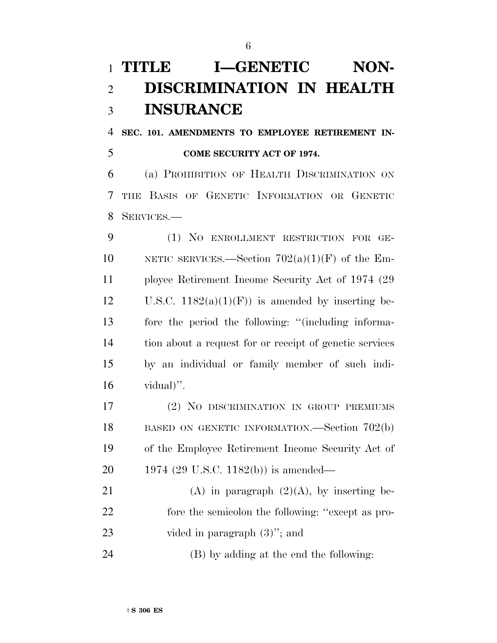# **TITLE I-GENETIC NON- DISCRIMINATION IN HEALTH INSURANCE**

 **SEC. 101. AMENDMENTS TO EMPLOYEE RETIREMENT IN-COME SECURITY ACT OF 1974.**

 (a) PROHIBITION OF HEALTH DISCRIMINATION ON THE BASIS OF GENETIC INFORMATION OR GENETIC SERVICES.—

 (1) NO ENROLLMENT RESTRICTION FOR GE-10 NETIC SERVICES.—Section  $702(a)(1)(F)$  of the Em- ployee Retirement Income Security Act of 1974 (29 12 U.S.C.  $1182(a)(1)(F)$  is amended by inserting be- fore the period the following: ''(including informa- tion about a request for or receipt of genetic services by an individual or family member of such indi-vidual)".

 (2) NO DISCRIMINATION IN GROUP PREMIUMS 18 BASED ON GENETIC INFORMATION.—Section 702(b) of the Employee Retirement Income Security Act of 1974 (29 U.S.C. 1182(b)) is amended—

21 (A) in paragraph  $(2)(A)$ , by inserting be- fore the semicolon the following: ''except as pro-vided in paragraph (3)''; and

(B) by adding at the end the following: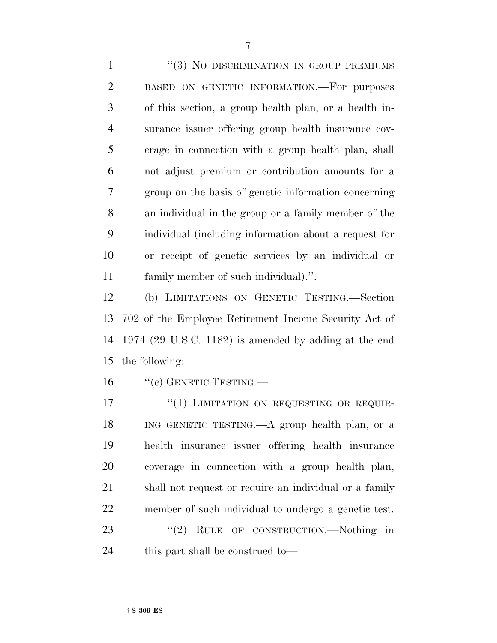1 ''(3) NO DISCRIMINATION IN GROUP PREMIUMS BASED ON GENETIC INFORMATION.—For purposes of this section, a group health plan, or a health in- surance issuer offering group health insurance cov- erage in connection with a group health plan, shall not adjust premium or contribution amounts for a group on the basis of genetic information concerning an individual in the group or a family member of the individual (including information about a request for or receipt of genetic services by an individual or family member of such individual).''.

 (b) LIMITATIONS ON GENETIC TESTING.—Section 702 of the Employee Retirement Income Security Act of 1974 (29 U.S.C. 1182) is amended by adding at the end the following:

16 "(c) GENETIC TESTING.—

17 "(1) LIMITATION ON REQUESTING OR REQUIR- ING GENETIC TESTING.—A group health plan, or a health insurance issuer offering health insurance coverage in connection with a group health plan, shall not request or require an individual or a family member of such individual to undergo a genetic test. 23 "(2) RULE OF CONSTRUCTION.—Nothing in this part shall be construed to—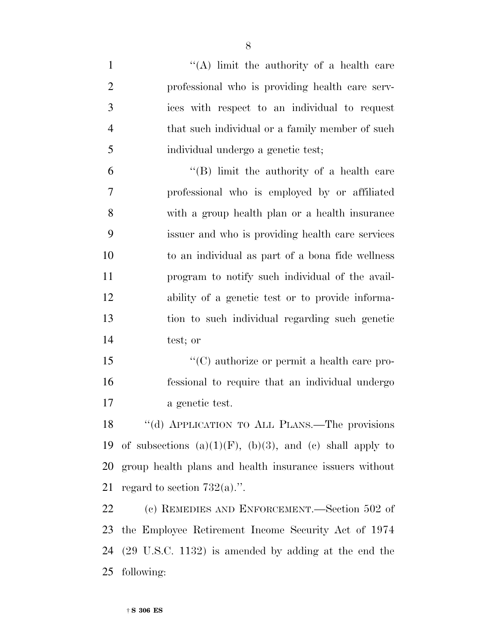1 ''(A) limit the authority of a health care professional who is providing health care serv- ices with respect to an individual to request that such individual or a family member of such individual undergo a genetic test; ''(B) limit the authority of a health care professional who is employed by or affiliated with a group health plan or a health insurance issuer and who is providing health care services to an individual as part of a bona fide wellness program to notify such individual of the avail- ability of a genetic test or to provide informa- tion to such individual regarding such genetic test; or  $\langle ^{\prime}(C)$  authorize or permit a health care pro- fessional to require that an individual undergo a genetic test. ''(d) APPLICATION TO ALL PLANS.—The provisions 19 of subsections  $(a)(1)(F)$ ,  $(b)(3)$ , and  $(c)$  shall apply to group health plans and health insurance issuers without 21 regard to section  $732(a)$ .". (c) REMEDIES AND ENFORCEMENT.—Section 502 of the Employee Retirement Income Security Act of 1974 (29 U.S.C. 1132) is amended by adding at the end the following: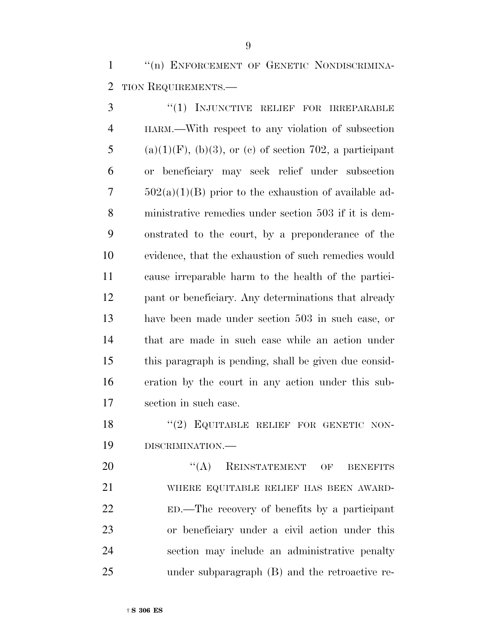1 "(n) ENFORCEMENT OF GENETIC NONDISCRIMINA-TION REQUIREMENTS.—

3 "(1) INJUNCTIVE RELIEF FOR IRREPARABLE HARM.—With respect to any violation of subsection 5 (a)(1)(F), (b)(3), or (c) of section 702, a participant or beneficiary may seek relief under subsection  $502(a)(1)(B)$  prior to the exhaustion of available ad- ministrative remedies under section 503 if it is dem- onstrated to the court, by a preponderance of the evidence, that the exhaustion of such remedies would cause irreparable harm to the health of the partici- pant or beneficiary. Any determinations that already have been made under section 503 in such case, or that are made in such case while an action under this paragraph is pending, shall be given due consid- eration by the court in any action under this sub-section in such case.

18 "(2) EQUITABLE RELIEF FOR GENETIC NON-DISCRIMINATION.—

20 "(A) REINSTATEMENT OF BENEFITS WHERE EQUITABLE RELIEF HAS BEEN AWARD- ED.—The recovery of benefits by a participant or beneficiary under a civil action under this section may include an administrative penalty under subparagraph (B) and the retroactive re-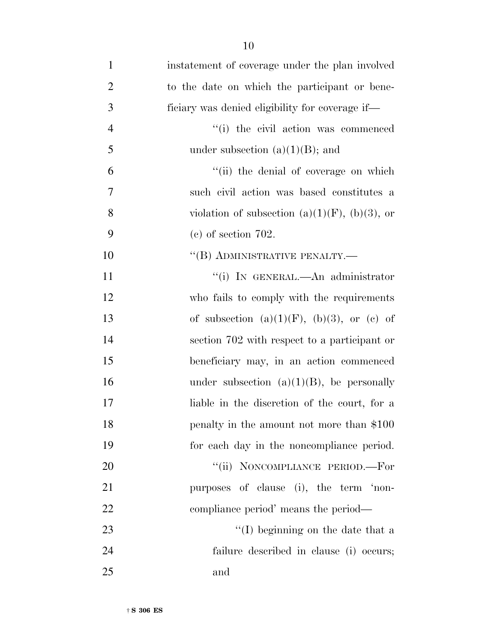| $\mathbf{1}$   | instatement of coverage under the plan involved       |
|----------------|-------------------------------------------------------|
| $\overline{2}$ | to the date on which the participant or bene-         |
| 3              | ficiary was denied eligibility for coverage if—       |
| $\overline{4}$ | "(i) the civil action was commenced                   |
| 5              | under subsection $(a)(1)(B)$ ; and                    |
| 6              | "(ii) the denial of coverage on which                 |
| 7              | such civil action was based constitutes a             |
| 8              | violation of subsection (a) $(1)(F)$ , (b) $(3)$ , or |
| 9              | $(e)$ of section 702.                                 |
| 10             | "(B) ADMINISTRATIVE PENALTY.-                         |
| 11             | "(i) IN GENERAL.—An administrator                     |
| 12             | who fails to comply with the requirements             |
| 13             | of subsection $(a)(1)(F)$ , $(b)(3)$ , or $(c)$ of    |
| 14             | section 702 with respect to a participant or          |
| 15             | beneficiary may, in an action commenced               |
| 16             | under subsection $(a)(1)(B)$ , be personally          |
| 17             | liable in the discretion of the court, for a          |
| 18             | penalty in the amount not more than \$100             |
| 19             | for each day in the noncompliance period.             |
| 20             | "(ii) NONCOMPLIANCE PERIOD.-For                       |
| 21             | purposes of clause (i), the term 'non-                |
| 22             | compliance period' means the period—                  |
| 23             | "(I) beginning on the date that a                     |
| 24             | failure described in clause (i) occurs;               |
| 25             | and                                                   |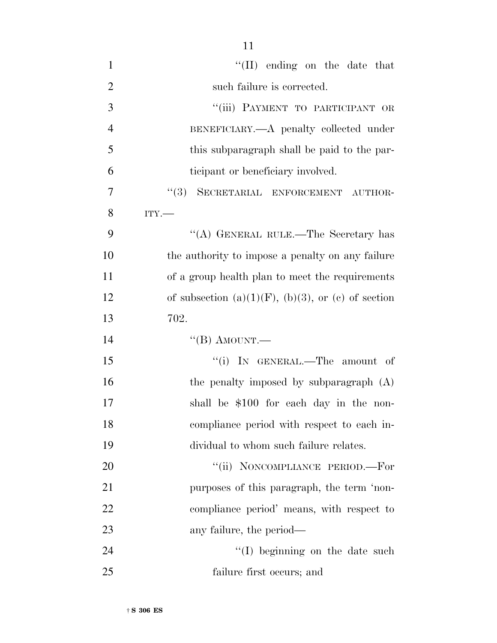| $\mathbf{1}$   | $\lq\lq$ (II) ending on the date that                      |
|----------------|------------------------------------------------------------|
| $\overline{2}$ | such failure is corrected.                                 |
| 3              | "(iii) PAYMENT TO PARTICIPANT OR                           |
| $\overline{4}$ | BENEFICIARY.—A penalty collected under                     |
| 5              | this subparagraph shall be paid to the par-                |
| 6              | ticipant or beneficiary involved.                          |
| 7              | "(3) SECRETARIAL ENFORCEMENT AUTHOR-                       |
| 8              | ITY.                                                       |
| 9              | "(A) GENERAL RULE.—The Secretary has                       |
| 10             | the authority to impose a penalty on any failure           |
| 11             | of a group health plan to meet the requirements            |
| 12             | of subsection $(a)(1)(F)$ , $(b)(3)$ , or $(c)$ of section |
| 13             | 702.                                                       |
| 14             | "(B) AMOUNT.—                                              |
| 15             | "(i) IN GENERAL.—The amount of                             |
| 16             | the penalty imposed by subparagraph (A)                    |
| 17             | shall be \$100 for each day in the non-                    |
| 18             | compliance period with respect to each in-                 |
| 19             | dividual to whom such failure relates.                     |
| 20             | "(ii) NONCOMPLIANCE PERIOD.-For                            |
| 21             | purposes of this paragraph, the term 'non-                 |

compliance period' means, with respect to

24 ''(I) beginning on the date such

any failure, the period—

failure first occurs; and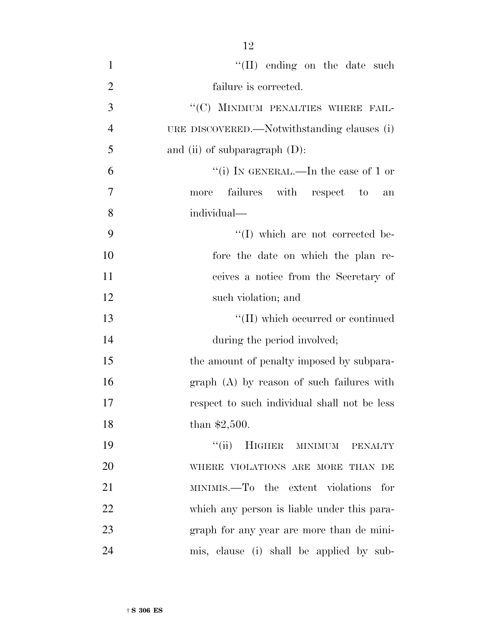| $\mathbf{1}$   | $\lq\lq$ (II) ending on the date such           |
|----------------|-------------------------------------------------|
| $\overline{2}$ | failure is corrected.                           |
| 3              | "(C) MINIMUM PENALTIES WHERE FAIL-              |
| $\overline{4}$ | URE DISCOVERED.—Notwithstanding clauses (i)     |
| 5              | and (ii) of subparagraph $(D)$ :                |
| 6              | "(i) IN GENERAL.—In the case of 1 or            |
| 7              | failures with respect to<br>more<br>an          |
| 8              | individual—                                     |
| 9              | "(I) which are not corrected be-                |
| 10             | fore the date on which the plan re-             |
| 11             | ceives a notice from the Secretary of           |
| 12             | such violation; and                             |
| 13             | $\lq\lq(\text{II})$ which occurred or continued |
| 14             | during the period involved;                     |
| 15             | the amount of penalty imposed by subpara-       |
| 16             | $graph(A)$ by reason of such failures with      |
| 17             | respect to such individual shall not be less    |
| 18             | than $$2,500$ .                                 |
| 19             | HIGHER MINIMUM PENALTY<br>``(ii)                |
| 20             | WHERE VIOLATIONS ARE MORE THAN DE               |
| 21             | MINIMIS.—To the extent violations for           |
| 22             | which any person is liable under this para-     |
| 23             | graph for any year are more than de mini-       |
| 24             | mis, clause (i) shall be applied by sub-        |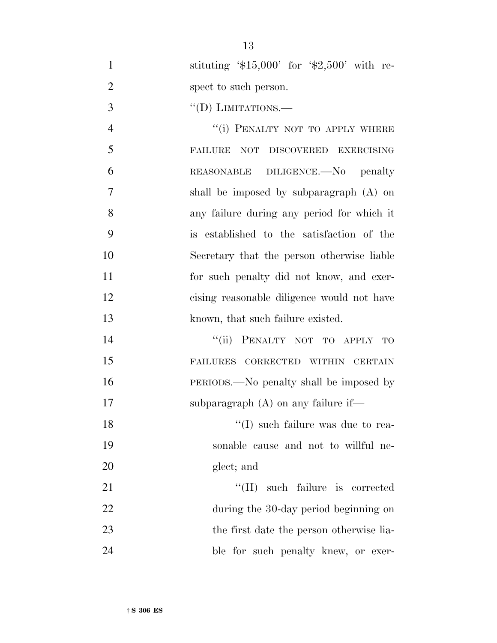1 stituting '\$15,000' for '\$2,500' with re-2 spect to such person.

3 "(D) LIMITATIONS.—

4 "(i) PENALTY NOT TO APPLY WHERE FAILURE NOT DISCOVERED EXERCISING REASONABLE DILIGENCE.—No penalty shall be imposed by subparagraph (A) on any failure during any period for which it is established to the satisfaction of the Secretary that the person otherwise liable for such penalty did not know, and exer- cising reasonable diligence would not have 13 known, that such failure existed.

14 "(ii) PENALTY NOT TO APPLY TO 15 FAILURES CORRECTED WITHIN CERTAIN 16 PERIODS.—No penalty shall be imposed by 17 subparagraph (A) on any failure if—

18 ''(I) such failure was due to rea-19 sonable cause and not to willful ne-20 glect; and

21 ''(II) such failure is corrected 22 during the 30-day period beginning on 23 the first date the person otherwise lia-24 ble for such penalty knew, or exer-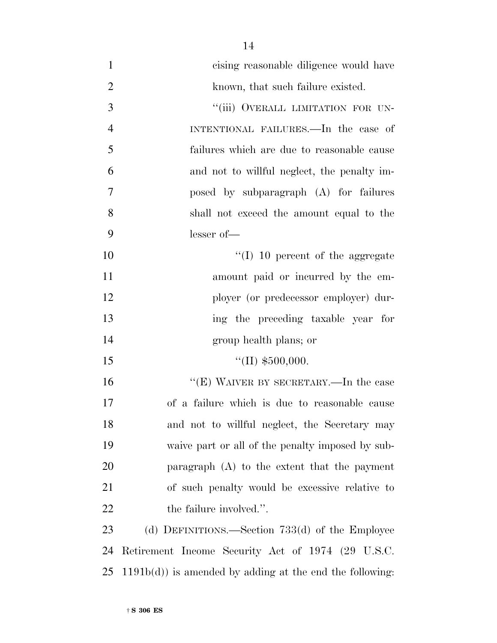| $\mathbf{1}$   | cising reasonable diligence would have                    |
|----------------|-----------------------------------------------------------|
| $\overline{2}$ | known, that such failure existed.                         |
| 3              | "(iii) OVERALL LIMITATION FOR UN-                         |
| $\overline{4}$ | INTENTIONAL FAILURES.-In the case of                      |
| 5              | failures which are due to reasonable cause                |
| 6              | and not to willful neglect, the penalty im-               |
| 7              | posed by subparagraph (A) for failures                    |
| 8              | shall not exceed the amount equal to the                  |
| 9              | $lesser of$ —                                             |
| 10             | $\lq (I)$ 10 percent of the aggregate                     |
| 11             | amount paid or incurred by the em-                        |
| 12             | ployer (or predecessor employer) dur-                     |
| 13             | ing the preceding taxable year for                        |
| 14             | group health plans; or                                    |
| 15             | "(II) $$500,000$ .                                        |
| 16             | "(E) WAIVER BY SECRETARY.—In the case                     |
| 17             | of a failure which is due to reasonable cause             |
| 18             | and not to willful neglect, the Secretary may             |
| 19             | waive part or all of the penalty imposed by sub-          |
| 20             | paragraph $(A)$ to the extent that the payment            |
| 21             | of such penalty would be excessive relative to            |
| 22             | the failure involved.".                                   |
| 23             | (d) DEFINITIONS.—Section $733(d)$ of the Employee         |
| 24             | Retirement Income Security Act of 1974 (29 U.S.C.         |
| 25             | $1191b(d)$ is amended by adding at the end the following: |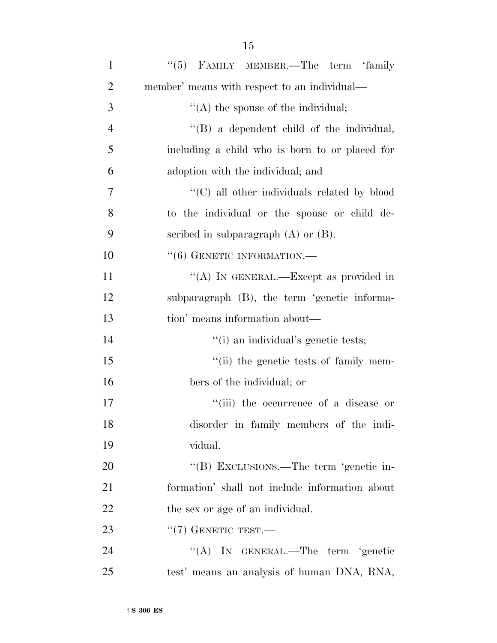| $\mathbf{1}$   | "(5) FAMILY MEMBER.—The term 'family           |
|----------------|------------------------------------------------|
| $\overline{2}$ | member' means with respect to an individual—   |
| 3              | "(A) the spouse of the individual;             |
| $\overline{4}$ | $\lq\lq$ a dependent child of the individual,  |
| 5              | including a child who is born to or placed for |
| 6              | adoption with the individual; and              |
| $\overline{7}$ | "(C) all other individuals related by blood    |
| 8              | to the individual or the spouse or child de-   |
| 9              | scribed in subparagraph $(A)$ or $(B)$ .       |
| 10             | $``(6)$ GENETIC INFORMATION.—                  |
| 11             | "(A) IN GENERAL.—Except as provided in         |
| 12             | subparagraph (B), the term 'genetic informa-   |
| 13             | tion' means information about—                 |
| 14             | "(i) an individual's genetic tests;            |
| 15             | "(ii) the genetic tests of family mem-         |
| 16             | bers of the individual; or                     |
| 17             | "(iii) the occurrence of a disease or          |
| 18             | disorder in family members of the indi-        |
| 19             | vidual.                                        |
| 20             | "(B) EXCLUSIONS.—The term 'genetic in-         |
| 21             | formation' shall not include information about |
| 22             | the sex or age of an individual.               |
| 23             | $``(7)$ GENETIC TEST.—                         |
| 24             | "(A) IN GENERAL.—The term 'genetic             |
| 25             | test' means an analysis of human DNA, RNA,     |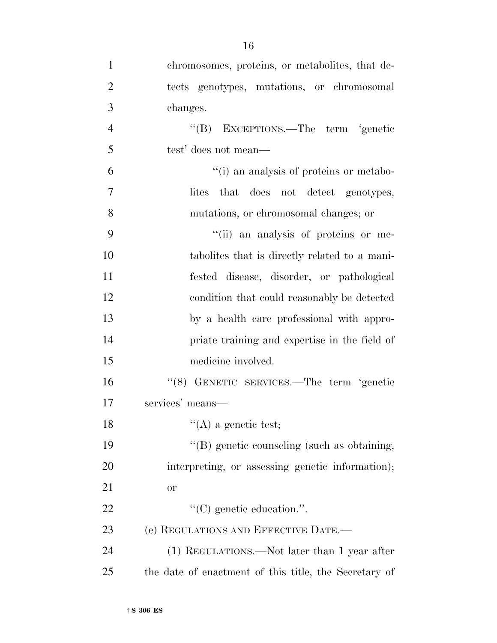| $\mathbf{1}$   | chromosomes, proteins, or metabolites, that de-       |
|----------------|-------------------------------------------------------|
| $\overline{2}$ | tects genotypes, mutations, or chromosomal            |
| 3              | changes.                                              |
| $\overline{4}$ | "(B) EXCEPTIONS.—The term 'genetic                    |
| 5              | test' does not mean—                                  |
| 6              | "(i) an analysis of proteins or metabo-               |
| $\overline{7}$ | that does not detect genotypes,<br>lites              |
| 8              | mutations, or chromosomal changes; or                 |
| 9              | "(ii) an analysis of proteins or me-                  |
| 10             | tabolities that is directly related to a mani-        |
| 11             | fested disease, disorder, or pathological             |
| 12             | condition that could reasonably be detected           |
| 13             | by a health care professional with appro-             |
| 14             | priate training and expertise in the field of         |
| 15             | medicine involved.                                    |
| 16             | "(8) GENETIC SERVICES.—The term 'genetic              |
| 17             | services' means-                                      |
| 18             | "(A) a genetic test;                                  |
| 19             | "(B) genetic counseling (such as obtaining,           |
| 20             | interpreting, or assessing genetic information);      |
| 21             | <b>or</b>                                             |
| 22             | $\lq\lq$ (C) genetic education.".                     |
| 23             | (e) REGULATIONS AND EFFECTIVE DATE.-                  |
| 24             | (1) REGULATIONS.—Not later than 1 year after          |
| 25             | the date of enactment of this title, the Secretary of |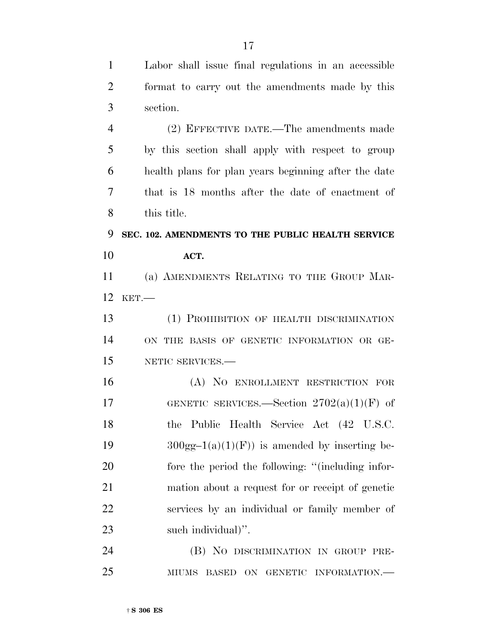Labor shall issue final regulations in an accessible

 format to carry out the amendments made by this section. (2) EFFECTIVE DATE.—The amendments made by this section shall apply with respect to group health plans for plan years beginning after the date that is 18 months after the date of enactment of this title. **SEC. 102. AMENDMENTS TO THE PUBLIC HEALTH SERVICE ACT.** (a) AMENDMENTS RELATING TO THE GROUP MAR- KET.— (1) PROHIBITION OF HEALTH DISCRIMINATION ON THE BASIS OF GENETIC INFORMATION OR GE- NETIC SERVICES.— (A) NO ENROLLMENT RESTRICTION FOR 17 GENETIC SERVICES.—Section  $2702(a)(1)(F)$  of the Public Health Service Act (42 U.S.C.  $300gg-1(a)(1)(F)$  is amended by inserting be- fore the period the following: ''(including infor- mation about a request for or receipt of genetic services by an individual or family member of such individual)''. (B) NO DISCRIMINATION IN GROUP PRE-MIUMS BASED ON GENETIC INFORMATION.—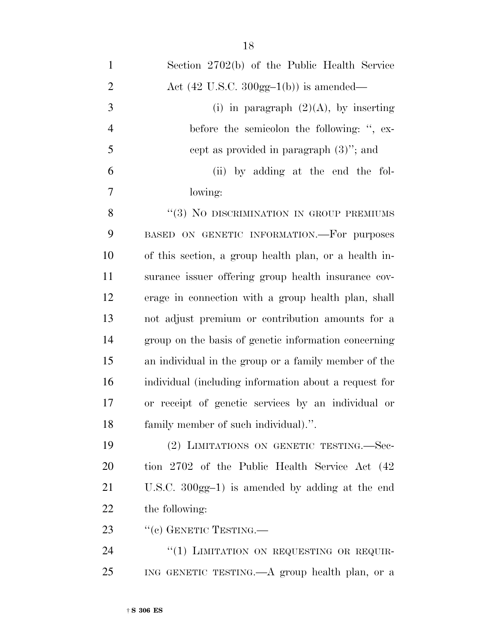| $\mathbf{1}$   | Section 2702(b) of the Public Health Service              |
|----------------|-----------------------------------------------------------|
| $\overline{2}$ | Act $(42 \text{ U.S.C. } 300 \text{gg-1(b)})$ is amended— |
| 3              | (i) in paragraph $(2)(A)$ , by inserting                  |
| $\overline{4}$ | before the semicolon the following: ", ex-                |
| 5              | cept as provided in paragraph $(3)$ "; and                |
| 6              | (ii) by adding at the end the fol-                        |
| $\overline{7}$ | lowing:                                                   |
| 8              | "(3) NO DISCRIMINATION IN GROUP PREMIUMS                  |
| 9              | BASED ON GENETIC INFORMATION.-For purposes                |
| 10             | of this section, a group health plan, or a health in-     |
| 11             | surance issuer offering group health insurance cov-       |
| 12             | erage in connection with a group health plan, shall       |
| 13             | not adjust premium or contribution amounts for a          |
| 14             | group on the basis of genetic information concerning      |
| 15             | an individual in the group or a family member of the      |
| 16             | individual (including information about a request for     |
| 17             | or receipt of genetic services by an individual or        |
| 18             | family member of such individual).".                      |
| 19             | (2) LIMITATIONS ON GENETIC TESTING. Sec-                  |
| 20             | tion 2702 of the Public Health Service Act (42)           |
| 21             | U.S.C. $300gg-1$ ) is amended by adding at the end        |
| 22             | the following:                                            |
| 23             | "(c) GENETIC TESTING.—                                    |
| 24             | "(1) LIMITATION ON REQUESTING OR REQUIR-                  |
| 25             | ING GENETIC TESTING.—A group health plan, or a            |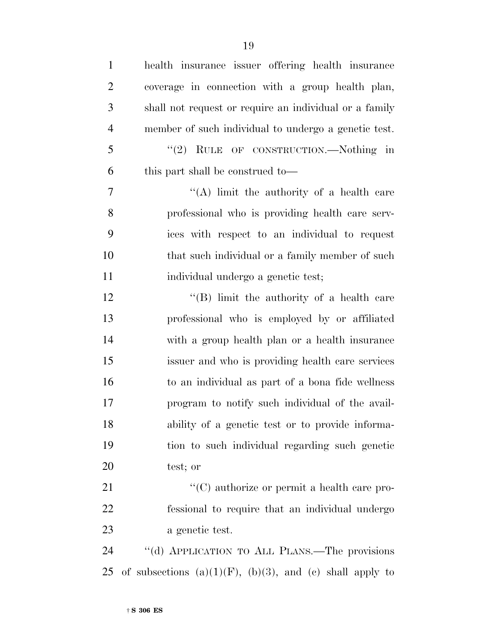| $\mathbf{1}$   | health insurance issuer offering health insurance                |
|----------------|------------------------------------------------------------------|
| $\overline{2}$ | coverage in connection with a group health plan,                 |
| 3              | shall not request or require an individual or a family           |
| $\overline{4}$ | member of such individual to undergo a genetic test.             |
| 5              | "(2) RULE OF CONSTRUCTION.—Nothing in                            |
| 6              | this part shall be construed to—                                 |
| 7              | "(A) limit the authority of a health care                        |
| 8              | professional who is providing health care serv-                  |
| 9              | ices with respect to an individual to request                    |
| 10             | that such individual or a family member of such                  |
| 11             | individual undergo a genetic test;                               |
| 12             | "(B) limit the authority of a health care                        |
| 13             | professional who is employed by or affiliated                    |
| 14             | with a group health plan or a health insurance                   |
| 15             | issuer and who is providing health care services                 |
| 16             | to an individual as part of a bona fide wellness                 |
| 17             | program to notify such individual of the avail-                  |
| 18             | ability of a genetic test or to provide informa-                 |
| 19             | tion to such individual regarding such genetic                   |
| 20             | test; or                                                         |
| 21             | "(C) authorize or permit a health care pro-                      |
| 22             | fessional to require that an individual undergo                  |
| 23             | a genetic test.                                                  |
| 24             | "(d) APPLICATION TO ALL PLANS.—The provisions                    |
| 25             | of subsections $(a)(1)(F)$ , $(b)(3)$ , and $(c)$ shall apply to |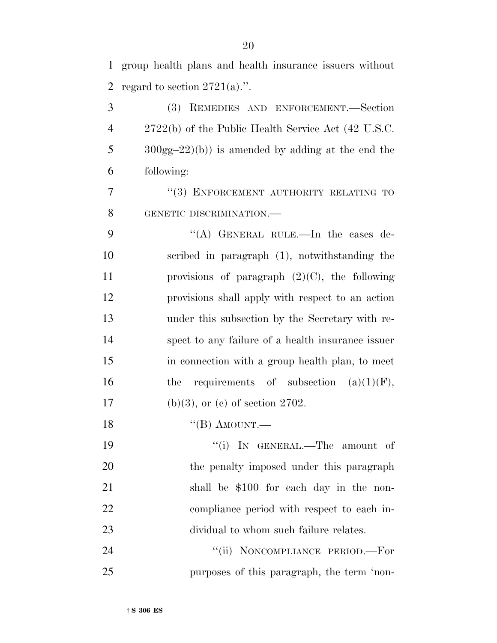group health plans and health insurance issuers without 2 regard to section  $2721(a)$ .".

 (3) REMEDIES AND ENFORCEMENT.—Section 2722(b) of the Public Health Service Act (42 U.S.C. 300gg–22)(b)) is amended by adding at the end the following:

7 "(3) ENFORCEMENT AUTHORITY RELATING TO GENETIC DISCRIMINATION.—

 ''(A) GENERAL RULE.—In the cases de- scribed in paragraph (1), notwithstanding the provisions of paragraph (2)(C), the following provisions shall apply with respect to an action under this subsection by the Secretary with re- spect to any failure of a health insurance issuer in connection with a group health plan, to meet 16 the requirements of subsection  $(a)(1)(F)$ , 17 (b)(3), or (c) of section .

18 "(B) AMOUNT.—

 $\text{``(i)}$  In GENERAL.—The amount of 20 the penalty imposed under this paragraph shall be \$100 for each day in the non- compliance period with respect to each in-dividual to whom such failure relates.

24 "(ii) NONCOMPLIANCE PERIOD.—For purposes of this paragraph, the term 'non-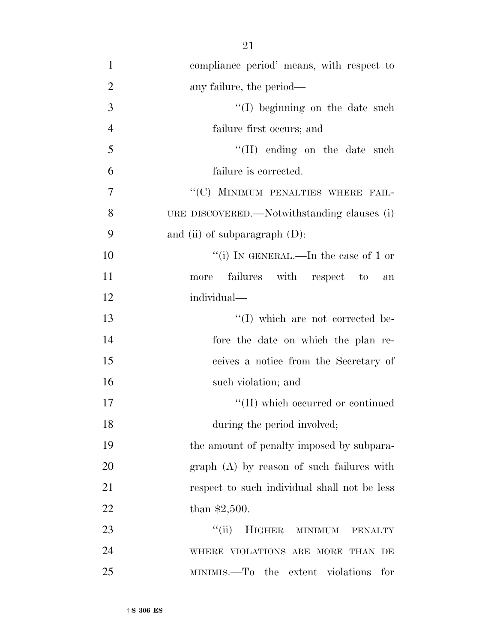| $\mathbf{1}$   | compliance period' means, with respect to    |
|----------------|----------------------------------------------|
| $\overline{2}$ | any failure, the period—                     |
| 3              | $\lq\lq$ (I) beginning on the date such      |
| $\overline{4}$ | failure first occurs; and                    |
| 5              | $\lq\lq$ (II) ending on the date such        |
| 6              | failure is corrected.                        |
| $\tau$         | "(C) MINIMUM PENALTIES WHERE FAIL-           |
| 8              | URE DISCOVERED.—Notwithstanding clauses (i)  |
| 9              | and (ii) of subparagraph $(D)$ :             |
| 10             | "(i) IN GENERAL.—In the case of 1 or         |
| 11             | failures with respect to<br>more<br>an       |
| 12             | individual—                                  |
| 13             | "(I) which are not corrected be-             |
| 14             | fore the date on which the plan re-          |
| 15             | ceives a notice from the Secretary of        |
| 16             | such violation; and                          |
| 17             | "(II) which occurred or continued            |
| 18             | during the period involved;                  |
| 19             | the amount of penalty imposed by subpara-    |
| 20             | $graph(A)$ by reason of such failures with   |
| 21             | respect to such individual shall not be less |
| 22             | than $$2,500$ .                              |
| 23             | ``(ii)<br>HIGHER MINIMUM<br><b>PENALTY</b>   |
| 24             | WHERE VIOLATIONS ARE MORE THAN DE            |

MINIMIS.—To the extent violations for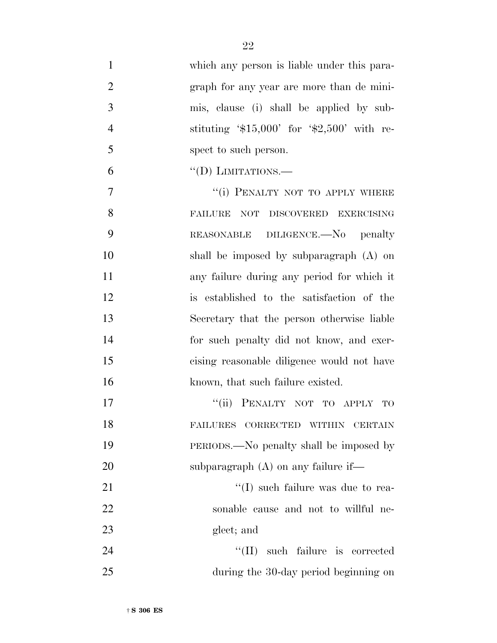| $\mathbf{1}$   | which any person is liable under this para- |
|----------------|---------------------------------------------|
| $\overline{2}$ | graph for any year are more than de mini-   |
| 3              | mis, clause (i) shall be applied by sub-    |
| $\overline{4}$ | stituting $$15,000'$ for $$2,500'$ with re- |
| 5              | spect to such person.                       |
| 6              | $\lq\lq$ (D) LIMITATIONS.—                  |
| 7              | "(i) PENALTY NOT TO APPLY WHERE             |
| 8              | FAILURE NOT DISCOVERED EXERCISING           |
| 9              | REASONABLE DILIGENCE.—No penalty            |
| 10             | shall be imposed by subparagraph $(A)$ on   |
| 11             | any failure during any period for which it  |
| 12             | is established to the satisfaction of the   |
| 13             | Secretary that the person otherwise liable  |
| 14             | for such penalty did not know, and exer-    |
| 15             | cising reasonable diligence would not have  |
| 16             | known, that such failure existed.           |
| 17             | "(ii) PENALTY NOT TO APPLY<br><b>TO</b>     |
| 18             | FAILURES CORRECTED WITHIN CERTAIN           |
| 19             | PERIODS.—No penalty shall be imposed by     |
| 20             | subparagraph $(A)$ on any failure if—       |
| 21             | $\lq\lq$ such failure was due to rea-       |
| 22             | sonable cause and not to willful ne-        |
| 23             | glect; and                                  |
| 24             | "(II) such failure is corrected             |
| 25             | during the 30-day period beginning on       |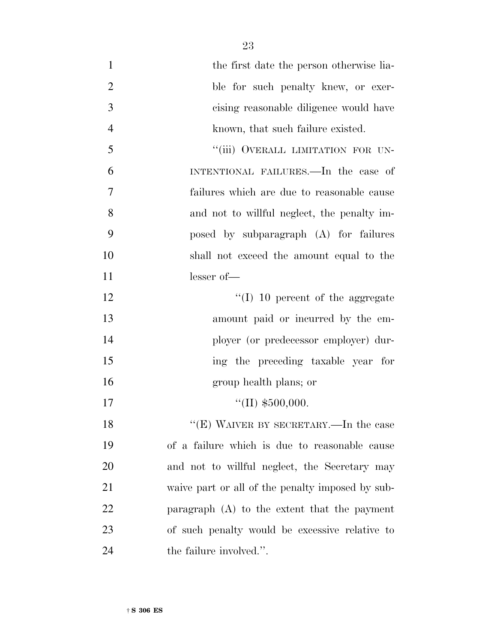| $\mathbf{1}$   | the first date the person otherwise lia-         |
|----------------|--------------------------------------------------|
| $\mathfrak{2}$ | ble for such penalty knew, or exer-              |
| 3              | cising reasonable diligence would have           |
| $\overline{4}$ | known, that such failure existed.                |
| 5              | "(iii) OVERALL LIMITATION FOR UN-                |
| 6              | INTENTIONAL FAILURES.—In the case of             |
| 7              | failures which are due to reasonable cause       |
| 8              | and not to willful neglect, the penalty im-      |
| 9              | posed by subparagraph (A) for failures           |
| 10             | shall not exceed the amount equal to the         |
| 11             | $lesser of$ —                                    |
| 12             | $\lq\lq$ (I) 10 percent of the aggregate         |
| 13             | amount paid or incurred by the em-               |
| 14             | ployer (or predecessor employer) dur-            |
| 15             | ing the preceding taxable year for               |
| 16             | group health plans; or                           |
| 17             | "(II) $$500,000$ .                               |
| 18             | "(E) WAIVER BY SECRETARY.—In the case            |
| 19             | of a failure which is due to reasonable cause    |
| 20             | and not to willful neglect, the Secretary may    |
| 21             | waive part or all of the penalty imposed by sub- |
| 22             | paragraph $(A)$ to the extent that the payment   |
| 23             | of such penalty would be excessive relative to   |
| 24             | the failure involved.".                          |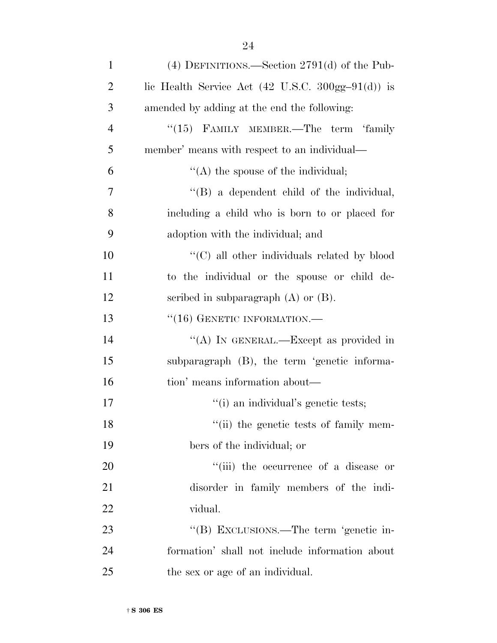| $\mathbf{1}$   | (4) DEFINITIONS.—Section $2791(d)$ of the Pub-                                  |
|----------------|---------------------------------------------------------------------------------|
| $\overline{2}$ | lic Health Service Act $(42 \text{ U.S.C. } 300 \text{gg} - 91 \text{ (d)})$ is |
| 3              | amended by adding at the end the following:                                     |
| $\overline{4}$ | "(15) FAMILY MEMBER.—The term 'family                                           |
| 5              | member' means with respect to an individual—                                    |
| 6              | $\lq\lq$ the spouse of the individual;                                          |
| 7              | $\lq\lq$ a dependent child of the individual,                                   |
| 8              | including a child who is born to or placed for                                  |
| 9              | adoption with the individual; and                                               |
| 10             | "(C) all other individuals related by blood                                     |
| 11             | to the individual or the spouse or child de-                                    |
| 12             | scribed in subparagraph $(A)$ or $(B)$ .                                        |
| 13             | $``(16)$ GENETIC INFORMATION.—                                                  |
| 14             | "(A) IN GENERAL.—Except as provided in                                          |
| 15             | subparagraph (B), the term 'genetic informa-                                    |
| 16             | tion' means information about—                                                  |
| 17             | "(i) an individual's genetic tests;                                             |
| 18             | "(ii) the genetic tests of family mem-                                          |
| 19             | bers of the individual; or                                                      |
| 20             | "(iii) the occurrence of a disease or                                           |
| 21             | disorder in family members of the indi-                                         |
| 22             | vidual.                                                                         |
| 23             | "(B) EXCLUSIONS.—The term 'genetic in-                                          |
| 24             | formation' shall not include information about                                  |
| 25             | the sex or age of an individual.                                                |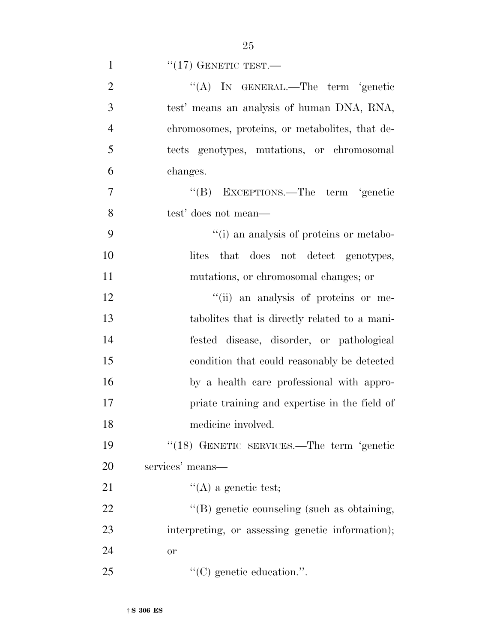|               | "(A) IN GENERAL.—The term 'genetic         |
|---------------|--------------------------------------------|
| $\mathcal{R}$ | test' means an analysis of human DNA, RNA, |

 $\frac{1}{17}$  GENETIC TEST.

 chromosomes, proteins, or metabolites, that de- tects genotypes, mutations, or chromosomal changes.

 ''(B) EXCEPTIONS.—The term 'genetic test' does not mean—

 ''(i) an analysis of proteins or metabo-10 lites that does not detect genotypes, mutations, or chromosomal changes; or

 $"$  (ii) an analysis of proteins or me- tabolites that is directly related to a mani- fested disease, disorder, or pathological condition that could reasonably be detected by a health care professional with appro- priate training and expertise in the field of medicine involved.

 ''(18) GENETIC SERVICES.—The term 'genetic services' means—

21  $\text{``(A)}$  a genetic test;

22  $\text{``(B)}$  genetic counseling (such as obtaining, interpreting, or assessing genetic information); or

25  $C(C)$  genetic education.".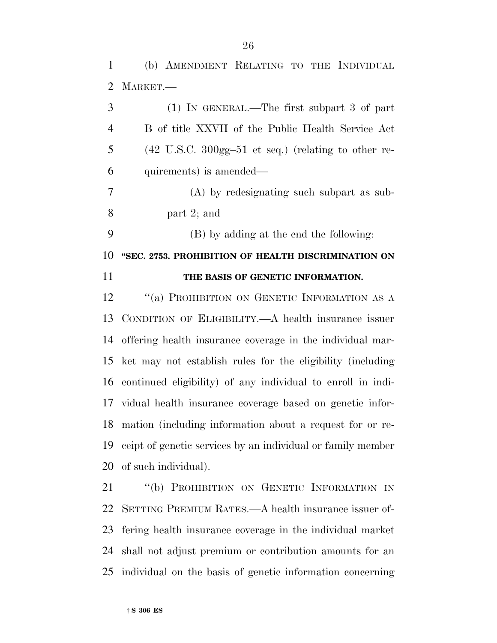(b) AMENDMENT RELATING TO THE INDIVIDUAL MARKET.—

| 3              | $(1)$ IN GENERAL.—The first subpart 3 of part                                    |
|----------------|----------------------------------------------------------------------------------|
| $\overline{4}$ | B of title XXVII of the Public Health Service Act                                |
| 5              | $(42 \text{ U.S.C. } 300 \text{gg} - 51 \text{ et seq.})$ (relating to other re- |
| 6              | quirements) is amended—                                                          |
| $\overline{7}$ | (A) by redesignating such subpart as sub-                                        |
| 8              | part $2$ ; and                                                                   |
| 9              | (B) by adding at the end the following:                                          |
| 10             | "SEC. 2753. PROHIBITION OF HEALTH DISCRIMINATION ON                              |
| 11             | THE BASIS OF GENETIC INFORMATION.                                                |
| 12             | "(a) PROHIBITION ON GENETIC INFORMATION AS A                                     |
| 13             | CONDITION OF ELIGIBILITY.—A health insurance issuer                              |
| 14             | offering health insurance coverage in the individual mar-                        |
| 15             | ket may not establish rules for the eligibility (including                       |
| 16             | continued eligibility) of any individual to enroll in indi-                      |
| 17             | vidual health insurance coverage based on genetic infor-                         |
| 18             | mation (including information about a request for or re-                         |
| 19             | ceipt of genetic services by an individual or family member                      |
|                | 20 of such individual).                                                          |

21 "(b) PROHIBITION ON GENETIC INFORMATION IN SETTING PREMIUM RATES.—A health insurance issuer of- fering health insurance coverage in the individual market shall not adjust premium or contribution amounts for an individual on the basis of genetic information concerning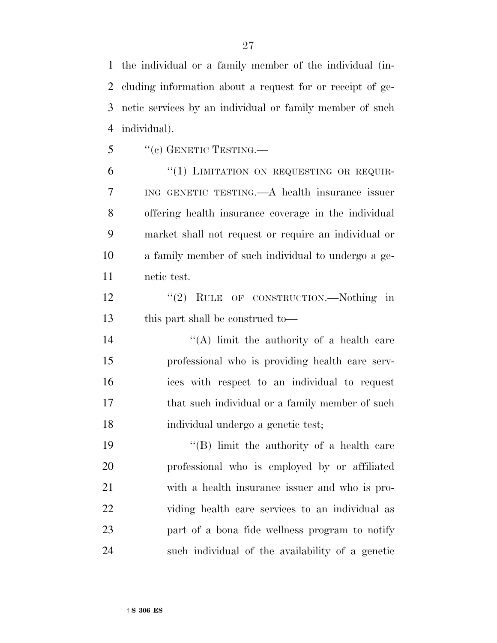the individual or a family member of the individual (in- cluding information about a request for or receipt of ge- netic services by an individual or family member of such individual).

"(c) GENETIC TESTING.—

6 "(1) LIMITATION ON REQUESTING OR REQUIR- ING GENETIC TESTING.—A health insurance issuer offering health insurance coverage in the individual market shall not request or require an individual or a family member of such individual to undergo a ge-netic test.

12 "(2) RULE OF CONSTRUCTION.—Nothing in this part shall be construed to—

 $((A)$  limit the authority of a health care professional who is providing health care serv- ices with respect to an individual to request 17 that such individual or a family member of such individual undergo a genetic test;

19 ''(B) limit the authority of a health care professional who is employed by or affiliated with a health insurance issuer and who is pro- viding health care services to an individual as part of a bona fide wellness program to notify such individual of the availability of a genetic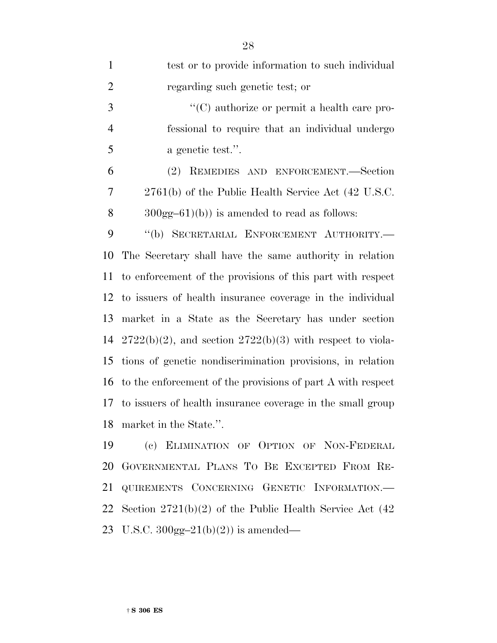| $\mathbf{1}$   | test or to provide information to such individual                 |
|----------------|-------------------------------------------------------------------|
| $\overline{2}$ | regarding such genetic test; or                                   |
| 3              | "(C) authorize or permit a health care pro-                       |
| $\overline{4}$ | fessional to require that an individual undergo                   |
| 5              | a genetic test.".                                                 |
| 6              | (2) REMEDIES AND ENFORCEMENT.—Section                             |
| 7              | 2761(b) of the Public Health Service Act (42 U.S.C.               |
| 8              | $300gg-61$ (b)) is amended to read as follows:                    |
| 9              | "(b) SECRETARIAL ENFORCEMENT AUTHORITY.-                          |
| 10             | The Secretary shall have the same authority in relation           |
| 11             | to enforcement of the provisions of this part with respect        |
|                | 12 to issuers of health insurance coverage in the individual      |
| 13             | market in a State as the Secretary has under section              |
|                | 14 $2722(b)(2)$ , and section $2722(b)(3)$ with respect to viola- |
| 15             | tions of genetic nondiscrimination provisions, in relation        |
|                | 16 to the enforcement of the provisions of part A with respect    |
| 17             | to issuers of health insurance coverage in the small group        |
|                | 18 market in the State.".                                         |
| 19             | (c) ELIMINATION OF OPTION OF NON-FEDERAL                          |
| 20             | GOVERNMENTAL PLANS TO BE EXCEPTED FROM RE-                        |
| 21             | QUIREMENTS CONCERNING GENETIC INFORMATION.-                       |
|                | 22 Section $2721(b)(2)$ of the Public Health Service Act $(42)$   |

U.S.C. 300gg–21(b)(2)) is amended—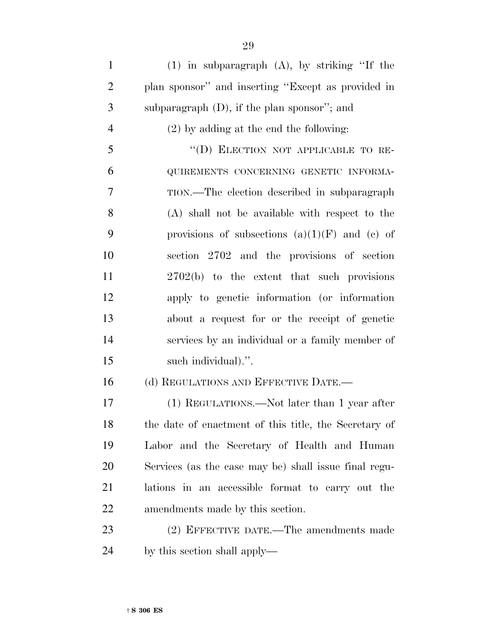(1) in subparagraph (A), by striking ''If the plan sponsor'' and inserting ''Except as provided in subparagraph (D), if the plan sponsor''; and (2) by adding at the end the following: ''(D) ELECTION NOT APPLICABLE TO RE- QUIREMENTS CONCERNING GENETIC INFORMA- TION.—The election described in subparagraph (A) shall not be available with respect to the 9 provisions of subsections  $(a)(1)(F)$  and  $(e)$  of section 2702 and the provisions of section 2702(b) to the extent that such provisions apply to genetic information (or information about a request for or the receipt of genetic services by an individual or a family member of such individual).''. 16 (d) REGULATIONS AND EFFECTIVE DATE.— (1) REGULATIONS.—Not later than 1 year after the date of enactment of this title, the Secretary of Labor and the Secretary of Health and Human Services (as the case may be) shall issue final regu- lations in an accessible format to carry out the amendments made by this section. (2) EFFECTIVE DATE.—The amendments made by this section shall apply—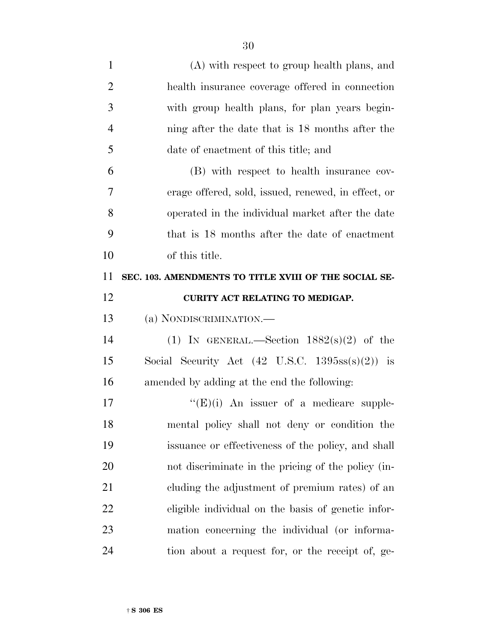| $\mathbf{1}$   | (A) with respect to group health plans, and                        |
|----------------|--------------------------------------------------------------------|
| $\overline{2}$ | health insurance coverage offered in connection                    |
| 3              | with group health plans, for plan years begin-                     |
| $\overline{4}$ | ning after the date that is 18 months after the                    |
| 5              | date of enactment of this title; and                               |
| 6              | (B) with respect to health insurance cov-                          |
| 7              | erage offered, sold, issued, renewed, in effect, or                |
| 8              | operated in the individual market after the date                   |
| 9              | that is 18 months after the date of enactment                      |
| 10             | of this title.                                                     |
| 11             | SEC. 103. AMENDMENTS TO TITLE XVIII OF THE SOCIAL SE-              |
| 12             | CURITY ACT RELATING TO MEDIGAP.                                    |
|                |                                                                    |
| 13             | (a) NONDISCRIMINATION.—                                            |
| 14             | (1) IN GENERAL.—Section $1882(s)(2)$ of the                        |
| 15             | Social Security Act $(42 \text{ U.S.C. } 1395 \text{ss(s)}(2))$ is |
| 16             | amended by adding at the end the following:                        |
| 17             | $\lq\lq(E)(i)$ An issuer of a medicare supple-                     |
| 18             | mental policy shall not deny or condition the                      |
| 19             | issuance or effectiveness of the policy, and shall                 |
| 20             | not discriminate in the pricing of the policy (in-                 |
| 21             | cluding the adjustment of premium rates) of an                     |
| 22             | eligible individual on the basis of genetic infor-                 |
| 23             | mation concerning the individual (or informa-                      |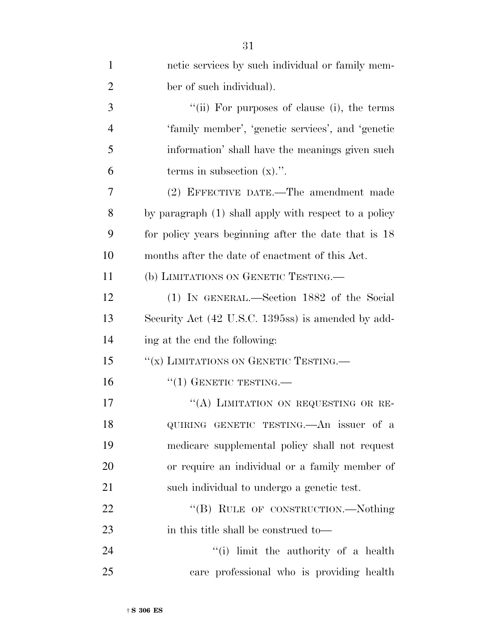| $\mathbf{1}$   | netic services by such individual or family mem-      |
|----------------|-------------------------------------------------------|
| $\overline{2}$ | ber of such individual).                              |
| 3              | "(ii) For purposes of clause (i), the terms           |
| $\overline{4}$ | 'family member', 'genetic services', and 'genetic     |
| 5              | information' shall have the meanings given such       |
| 6              | terms in subsection $(x)$ .".                         |
| 7              | (2) EFFECTIVE DATE.—The amendment made                |
| 8              | by paragraph (1) shall apply with respect to a policy |
| 9              | for policy years beginning after the date that is 18  |
| 10             | months after the date of enactment of this Act.       |
| 11             | (b) LIMITATIONS ON GENETIC TESTING.                   |
| 12             | (1) IN GENERAL.—Section 1882 of the Social            |
| 13             | Security Act (42 U.S.C. 1395ss) is amended by add-    |
| 14             | ing at the end the following:                         |
| 15             | "(x) LIMITATIONS ON GENETIC TESTING.                  |
| 16             | $``(1)$ GENETIC TESTING.—                             |
| 17             | "(A) LIMITATION ON REQUESTING OR RE-                  |
| 18             | QUIRING GENETIC TESTING.—An issuer of a               |
| 19             | medicare supplemental policy shall not request        |
| 20             | or require an individual or a family member of        |
| 21             | such individual to undergo a genetic test.            |
| 22             | "(B) RULE OF CONSTRUCTION.—Nothing                    |
| 23             | in this title shall be construed to—                  |
| 24             | "(i) limit the authority of a health                  |
| 25             | care professional who is providing health             |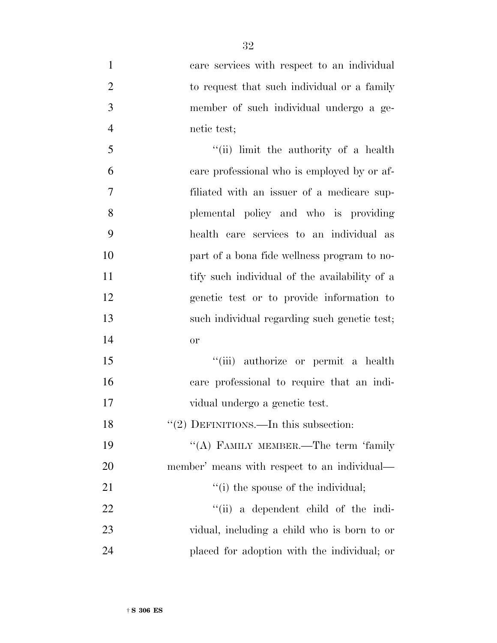| $\mathbf{1}$   | care services with respect to an individual   |
|----------------|-----------------------------------------------|
| $\overline{2}$ | to request that such individual or a family   |
| 3              | member of such individual undergo a ge-       |
| $\overline{4}$ | netic test;                                   |
| 5              | "(ii) limit the authority of a health         |
| 6              | care professional who is employed by or af-   |
| 7              | filiated with an issuer of a medicare sup-    |
| 8              | plemental policy and who is providing         |
| 9              | health care services to an individual as      |
| 10             | part of a bona fide wellness program to no-   |
| 11             | tify such individual of the availability of a |
| 12             | genetic test or to provide information to     |
| 13             | such individual regarding such genetic test;  |
| 14             | or                                            |
| 15             | "(iii) authorize or permit a health           |
| 16             | care professional to require that an indi-    |
| 17             | vidual undergo a genetic test.                |
| 18             | "(2) DEFINITIONS.—In this subsection:         |
| 19             | "(A) FAMILY MEMBER.—The term 'family          |
| 20             | member' means with respect to an individual—  |
| 21             | "(i) the spouse of the individual;            |
| 22             | "(ii) a dependent child of the indi-          |
| 23             | vidual, including a child who is born to or   |
| 24             | placed for adoption with the individual; or   |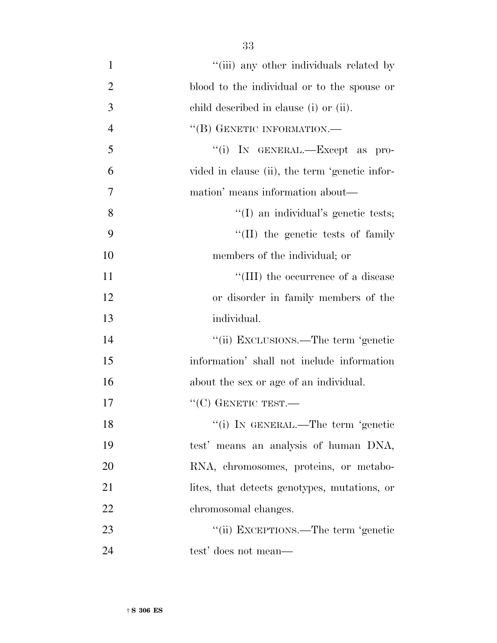| $\mathbf{1}$   | "(iii) any other individuals related by        |
|----------------|------------------------------------------------|
| $\overline{2}$ | blood to the individual or to the spouse or    |
| 3              | child described in clause (i) or (ii).         |
| $\overline{4}$ | "(B) GENETIC INFORMATION.—                     |
| 5              | "(i) IN GENERAL.—Except as pro-                |
| 6              | vided in clause (ii), the term 'genetic infor- |
| 7              | mation' means information about—               |
| 8              | "(I) an individual's genetic tests;            |
| 9              | "(II) the genetic tests of family              |
| 10             | members of the individual; or                  |
| 11             | "(III) the occurrence of a disease             |
| 12             | or disorder in family members of the           |
| 13             | individual.                                    |
| 14             | "(ii) EXCLUSIONS.—The term 'genetic            |
| 15             | information' shall not include information     |
| 16             | about the sex or age of an individual.         |
| 17             | $``(C)$ GENETIC TEST.—                         |
| 18             | "(i) IN GENERAL.—The term 'genetic             |
| 19             | test' means an analysis of human DNA,          |
| 20             | RNA, chromosomes, proteins, or metabo-         |
| 21             | lites, that detects genotypes, mutations, or   |
| 22             | chromosomal changes.                           |
| 23             | "(ii) EXCEPTIONS.—The term 'genetic            |
| 24             | test' does not mean—                           |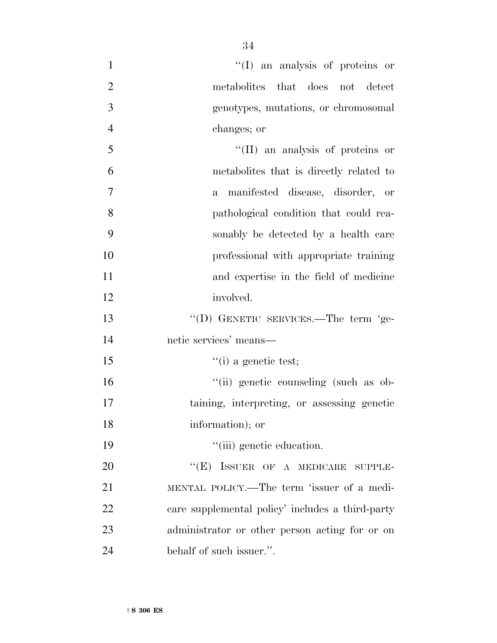| $\mathbf{1}$   | "(I) an analysis of proteins or                  |
|----------------|--------------------------------------------------|
| $\overline{2}$ | metabolites that does not detect                 |
| 3              | genotypes, mutations, or chromosomal             |
| $\overline{4}$ | changes; or                                      |
| 5              | "(II) an analysis of proteins or                 |
| 6              | metabolities that is directly related to         |
| $\overline{7}$ | a manifested disease, disorder, or               |
| 8              | pathological condition that could rea-           |
| 9              | sonably be detected by a health care             |
| 10             | professional with appropriate training           |
| 11             | and expertise in the field of medicine           |
| 12             | involved.                                        |
| 13             | "(D) GENETIC SERVICES.—The term 'ge-             |
| 14             | netic services' means-                           |
| 15             | $\lq($ i) a genetic test;                        |
| 16             | "(ii) genetic counseling (such as ob-            |
| 17             | taining, interpreting, or assessing genetic      |
| 18             | information); or                                 |
| 19             | "(iii) genetic education.                        |
| 20             | $``(E)$ ISSUER OF A MEDICARE SUPPLE-             |
| 21             | MENTAL POLICY.—The term 'issuer of a medi-       |
| 22             | care supplemental policy' includes a third-party |
| 23             | administrator or other person acting for or on   |
| 24             | behalf of such issuer.".                         |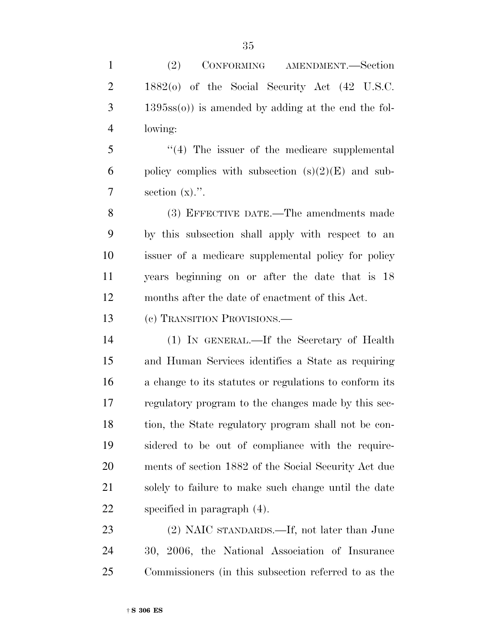(2) CONFORMING AMENDMENT.—Section 1882(o) of the Social Security Act (42 U.S.C. 1395ss(o)) is amended by adding at the end the fol- lowing: ''(4) The issuer of the medicare supplemental

6 policy complies with subsection  $(s)(2)(E)$  and sub- $7 \qquad \text{section} \ (\text{x})$ .".

 (3) EFFECTIVE DATE.—The amendments made by this subsection shall apply with respect to an issuer of a medicare supplemental policy for policy years beginning on or after the date that is 18 months after the date of enactment of this Act.

(c) TRANSITION PROVISIONS.—

 (1) IN GENERAL.—If the Secretary of Health and Human Services identifies a State as requiring a change to its statutes or regulations to conform its regulatory program to the changes made by this sec- tion, the State regulatory program shall not be con- sidered to be out of compliance with the require- ments of section 1882 of the Social Security Act due solely to failure to make such change until the date specified in paragraph (4).

 (2) NAIC STANDARDS.—If, not later than June 30, 2006, the National Association of Insurance Commissioners (in this subsection referred to as the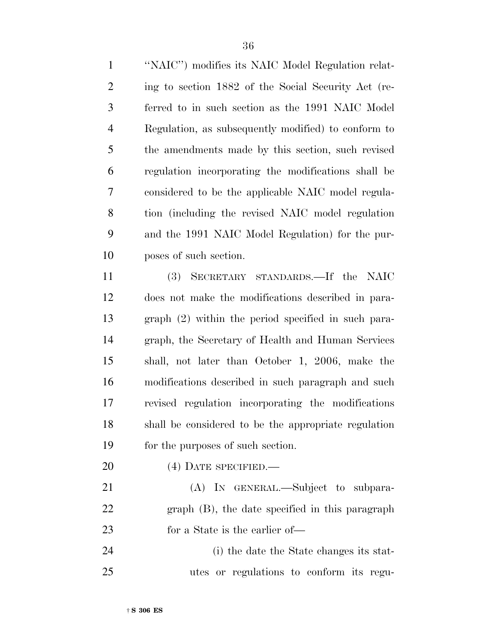''NAIC'') modifies its NAIC Model Regulation relat- ing to section 1882 of the Social Security Act (re- ferred to in such section as the 1991 NAIC Model Regulation, as subsequently modified) to conform to the amendments made by this section, such revised regulation incorporating the modifications shall be considered to be the applicable NAIC model regula- tion (including the revised NAIC model regulation and the 1991 NAIC Model Regulation) for the pur-poses of such section.

 (3) SECRETARY STANDARDS.—If the NAIC does not make the modifications described in para- graph (2) within the period specified in such para- graph, the Secretary of Health and Human Services shall, not later than October 1, 2006, make the modifications described in such paragraph and such revised regulation incorporating the modifications shall be considered to be the appropriate regulation for the purposes of such section.

(4) DATE SPECIFIED.—

 (A) IN GENERAL.—Subject to subpara- graph (B), the date specified in this paragraph for a State is the earlier of—

 (i) the date the State changes its stat-utes or regulations to conform its regu-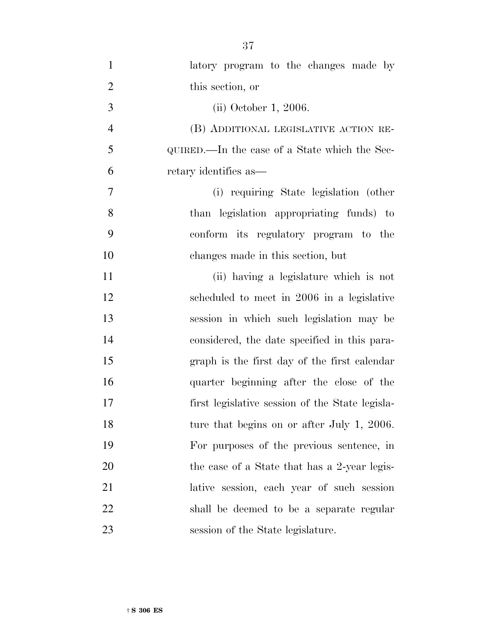| $\mathbf{1}$   | latory program to the changes made by           |
|----------------|-------------------------------------------------|
| $\overline{2}$ | this section, or                                |
| 3              | (ii) October 1, 2006.                           |
| $\overline{4}$ | (B) ADDITIONAL LEGISLATIVE ACTION RE-           |
| 5              | QUIRED.—In the case of a State which the Sec-   |
| 6              | retary identifies as—                           |
| 7              | (i) requiring State legislation (other          |
| 8              | than legislation appropriating funds) to        |
| 9              | conform its regulatory program to the           |
| 10             | changes made in this section, but               |
| 11             | (ii) having a legislature which is not          |
| 12             | scheduled to meet in 2006 in a legislative      |
| 13             | session in which such legislation may be        |
| 14             | considered, the date specified in this para-    |
| 15             | graph is the first day of the first calendar    |
| 16             | quarter beginning after the close of the        |
| 17             | first legislative session of the State legisla- |
| 18             | ture that begins on or after July 1, 2006.      |
| 19             | For purposes of the previous sentence, in       |
| 20             | the case of a State that has a 2-year legis-    |
| 21             | lative session, each year of such session       |
| 22             | shall be deemed to be a separate regular        |
| 23             | session of the State legislature.               |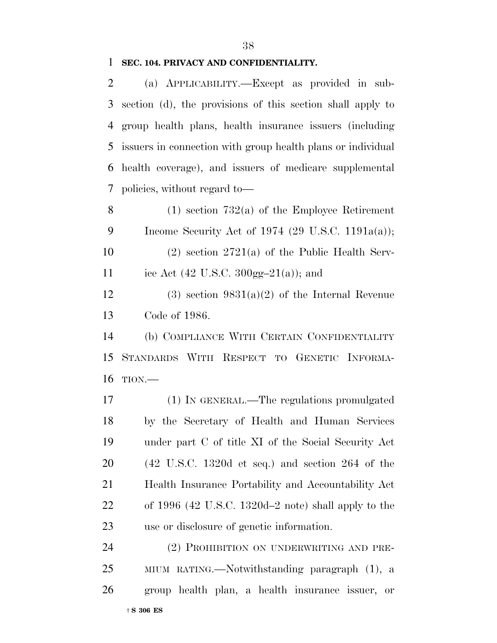### **SEC. 104. PRIVACY AND CONFIDENTIALITY.**

 (a) APPLICABILITY.—Except as provided in sub- section (d), the provisions of this section shall apply to group health plans, health insurance issuers (including issuers in connection with group health plans or individual health coverage), and issuers of medicare supplemental policies, without regard to—

 (1) section 732(a) of the Employee Retirement Income Security Act of 1974 (29 U.S.C. 1191a(a));

 (2) section 2721(a) of the Public Health Serv-11 ice Act (42 U.S.C.  $300gg-21(a)$ ); and

12 (3) section  $9831(a)(2)$  of the Internal Revenue Code of 1986.

 (b) COMPLIANCE WITH CERTAIN CONFIDENTIALITY STANDARDS WITH RESPECT TO GENETIC INFORMA-TION.—

 (1) IN GENERAL.—The regulations promulgated by the Secretary of Health and Human Services under part C of title XI of the Social Security Act (42 U.S.C. 1320d et seq.) and section 264 of the Health Insurance Portability and Accountability Act of 1996 (42 U.S.C. 1320d–2 note) shall apply to the use or disclosure of genetic information.

24 (2) PROHIBITION ON UNDERWRITING AND PRE- MIUM RATING.—Notwithstanding paragraph (1), a group health plan, a health insurance issuer, or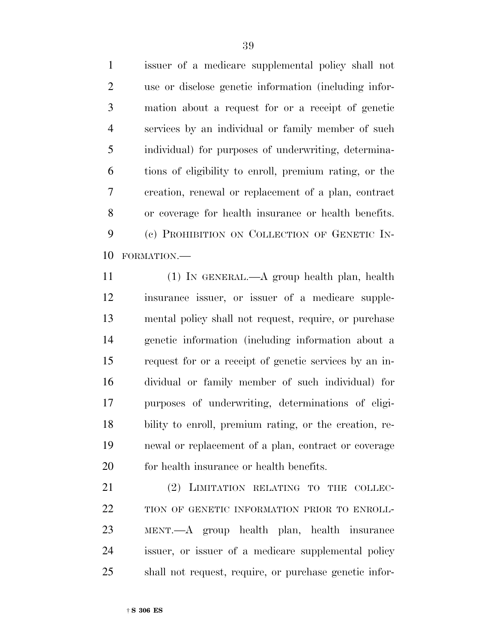issuer of a medicare supplemental policy shall not use or disclose genetic information (including infor- mation about a request for or a receipt of genetic services by an individual or family member of such individual) for purposes of underwriting, determina- tions of eligibility to enroll, premium rating, or the creation, renewal or replacement of a plan, contract or coverage for health insurance or health benefits. (c) PROHIBITION ON COLLECTION OF GENETIC IN-FORMATION.—

 (1) IN GENERAL.—A group health plan, health insurance issuer, or issuer of a medicare supple- mental policy shall not request, require, or purchase genetic information (including information about a request for or a receipt of genetic services by an in- dividual or family member of such individual) for purposes of underwriting, determinations of eligi- bility to enroll, premium rating, or the creation, re- newal or replacement of a plan, contract or coverage for health insurance or health benefits.

21 (2) LIMITATION RELATING TO THE COLLEC-22 TION OF GENETIC INFORMATION PRIOR TO ENROLL- MENT.—A group health plan, health insurance issuer, or issuer of a medicare supplemental policy shall not request, require, or purchase genetic infor-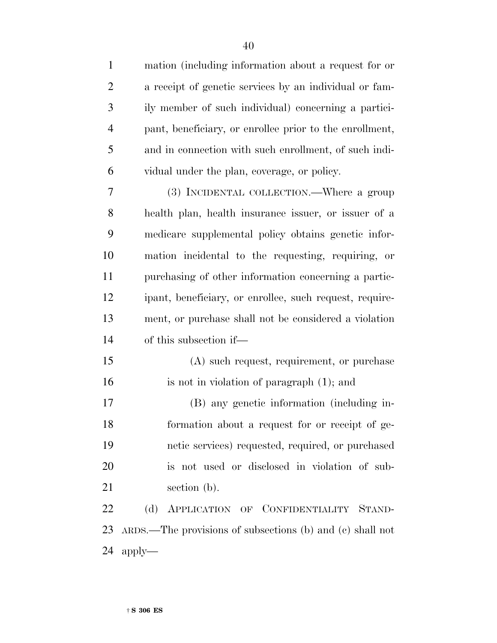| $\mathbf{1}$   | mation (including information about a request for or         |
|----------------|--------------------------------------------------------------|
| $\overline{2}$ | a receipt of genetic services by an individual or fam-       |
| 3              | ily member of such individual) concerning a partici-         |
| 4              | pant, beneficiary, or enrollee prior to the enrollment,      |
| 5              | and in connection with such enrollment, of such indi-        |
| 6              | vidual under the plan, coverage, or policy.                  |
| 7              | (3) INCIDENTAL COLLECTION.—Where a group                     |
| 8              | health plan, health insurance issuer, or issuer of a         |
| 9              | medicare supplemental policy obtains genetic infor-          |
| 10             | mation incidental to the requesting, requiring, or           |
| 11             | purchasing of other information concerning a partic-         |
| 12             | ipant, beneficiary, or enrollee, such request, require-      |
| 13             | ment, or purchase shall not be considered a violation        |
| 14             | of this subsection if—                                       |
| 15             | (A) such request, requirement, or purchase                   |
| 16             | is not in violation of paragraph (1); and                    |
| 17             | (B) any genetic information (including in-                   |
| 18             | formation about a request for or receipt of ge-              |
| 19             | netic services) requested, required, or purchased            |
| 20             | is not used or disclosed in violation of sub-                |
| 21             | section (b).                                                 |
| 22             | (d)<br>APPLICATION OF CONFIDENTIALITY STAND-                 |
| 23             | $ARDS$ .—The provisions of subsections (b) and (c) shall not |
| 24             | $apply-$                                                     |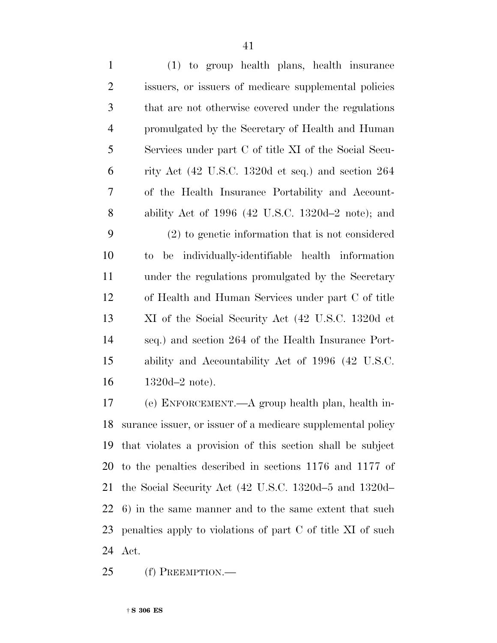| $\mathbf{1}$   | (1) to group health plans, health insurance                             |
|----------------|-------------------------------------------------------------------------|
| $\mathfrak{2}$ | issuers, or issuers of medicare supplemental policies                   |
| 3              | that are not otherwise covered under the regulations                    |
| $\overline{4}$ | promulgated by the Secretary of Health and Human                        |
| 5              | Services under part C of title XI of the Social Secu-                   |
| 6              | rity Act $(42 \text{ U.S.C. } 1320d \text{ et seq.})$ and section $264$ |
| 7              | of the Health Insurance Portability and Account-                        |
| 8              | ability Act of $1996$ (42 U.S.C. 1320d–2 note); and                     |
| 9              | (2) to genetic information that is not considered                       |
| 10             | to be individually-identifiable health information                      |
| 11             | under the regulations promulgated by the Secretary                      |
| 12             | of Health and Human Services under part C of title                      |
| 13             | XI of the Social Security Act (42 U.S.C. 1320d et                       |
| 14             | seq.) and section 264 of the Health Insurance Port-                     |
| 15             | ability and Accountability Act of 1996 (42 U.S.C.                       |
| 16             | $1320d-2$ note).                                                        |
| 17             | (e) ENFORCEMENT.—A group health plan, health in-                        |

 surance issuer, or issuer of a medicare supplemental policy that violates a provision of this section shall be subject to the penalties described in sections 1176 and 1177 of the Social Security Act (42 U.S.C. 1320d–5 and 1320d– 6) in the same manner and to the same extent that such penalties apply to violations of part C of title XI of such Act.

(f) PREEMPTION.—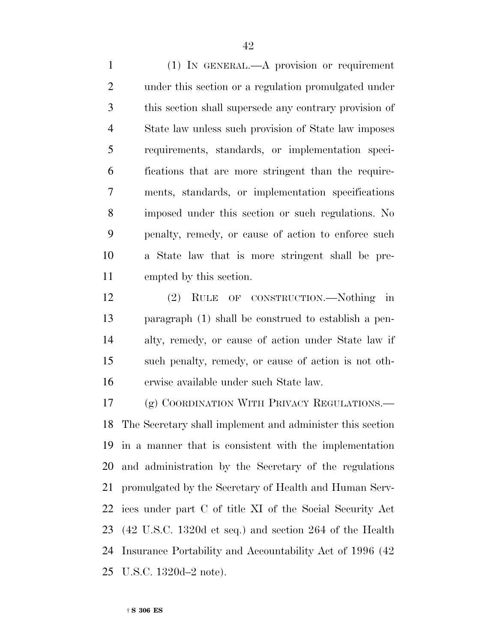(1) IN GENERAL.—A provision or requirement under this section or a regulation promulgated under this section shall supersede any contrary provision of State law unless such provision of State law imposes requirements, standards, or implementation speci- fications that are more stringent than the require- ments, standards, or implementation specifications imposed under this section or such regulations. No penalty, remedy, or cause of action to enforce such a State law that is more stringent shall be pre-empted by this section.

 (2) RULE OF CONSTRUCTION.—Nothing in paragraph (1) shall be construed to establish a pen- alty, remedy, or cause of action under State law if such penalty, remedy, or cause of action is not oth-erwise available under such State law.

17 (g) COORDINATION WITH PRIVACY REGULATIONS.— The Secretary shall implement and administer this section in a manner that is consistent with the implementation and administration by the Secretary of the regulations promulgated by the Secretary of Health and Human Serv- ices under part C of title XI of the Social Security Act (42 U.S.C. 1320d et seq.) and section 264 of the Health Insurance Portability and Accountability Act of 1996 (42 U.S.C. 1320d–2 note).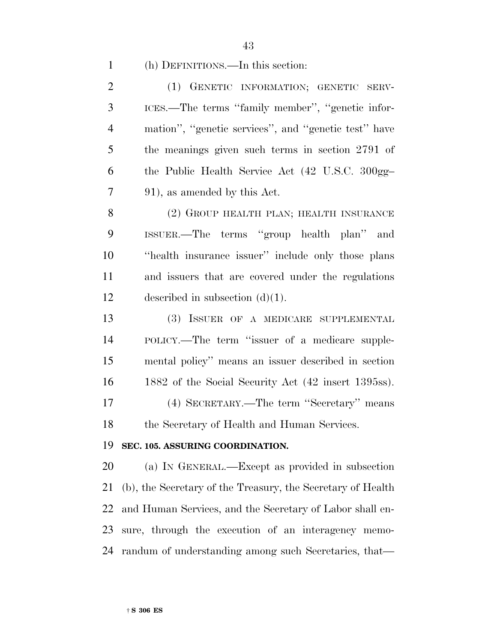#### (h) DEFINITIONS.—In this section:

 (1) GENETIC INFORMATION; GENETIC SERV- ICES.—The terms ''family member'', ''genetic infor- mation'', ''genetic services'', and ''genetic test'' have the meanings given such terms in section 2791 of the Public Health Service Act (42 U.S.C. 300gg– 91), as amended by this Act.

8 (2) GROUP HEALTH PLAN; HEALTH INSURANCE ISSUER.—The terms ''group health plan'' and ''health insurance issuer'' include only those plans and issuers that are covered under the regulations described in subsection (d)(1).

 (3) ISSUER OF A MEDICARE SUPPLEMENTAL POLICY.—The term ''issuer of a medicare supple- mental policy'' means an issuer described in section 1882 of the Social Security Act (42 insert 1395ss). (4) SECRETARY.—The term ''Secretary'' means 18 the Secretary of Health and Human Services.

#### **SEC. 105. ASSURING COORDINATION.**

 (a) IN GENERAL.—Except as provided in subsection (b), the Secretary of the Treasury, the Secretary of Health and Human Services, and the Secretary of Labor shall en- sure, through the execution of an interagency memo-randum of understanding among such Secretaries, that—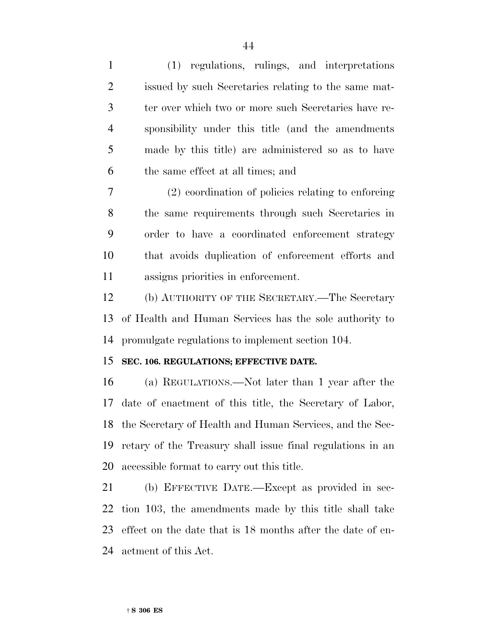(1) regulations, rulings, and interpretations issued by such Secretaries relating to the same mat- ter over which two or more such Secretaries have re- sponsibility under this title (and the amendments made by this title) are administered so as to have the same effect at all times; and (2) coordination of policies relating to enforcing the same requirements through such Secretaries in order to have a coordinated enforcement strategy that avoids duplication of enforcement efforts and assigns priorities in enforcement. (b) AUTHORITY OF THE SECRETARY.—The Secretary of Health and Human Services has the sole authority to promulgate regulations to implement section 104. **SEC. 106. REGULATIONS; EFFECTIVE DATE.** (a) REGULATIONS.—Not later than 1 year after the date of enactment of this title, the Secretary of Labor, the Secretary of Health and Human Services, and the Sec- retary of the Treasury shall issue final regulations in an accessible format to carry out this title. (b) EFFECTIVE DATE.—Except as provided in sec-tion 103, the amendments made by this title shall take

 effect on the date that is 18 months after the date of en-actment of this Act.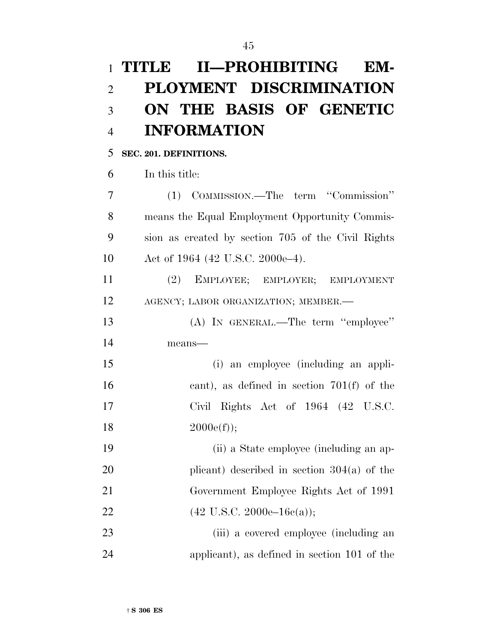# **TITLE II—PROHIBITING EM- PLOYMENT DISCRIMINATION ON THE BASIS OF GENETIC INFORMATION**

## **SEC. 201. DEFINITIONS.**

In this title:

 (1) COMMISSION.—The term ''Commission'' means the Equal Employment Opportunity Commis- sion as created by section 705 of the Civil Rights 10 Act of 1964 (42 U.S.C. 2000e–4).

 (2) EMPLOYEE; EMPLOYER; EMPLOYMENT AGENCY; LABOR ORGANIZATION; MEMBER.—

13 (A) IN GENERAL.—The term "employee" means—

 (i) an employee (including an appli- cant), as defined in section 701(f) of the Civil Rights Act of 1964 (42 U.S.C.  $2000e(f)$ ;

 (ii) a State employee (including an ap- plicant) described in section 304(a) of the Government Employee Rights Act of 1991 22 (42 U.S.C. 2000e–16c(a));

 (iii) a covered employee (including an applicant), as defined in section 101 of the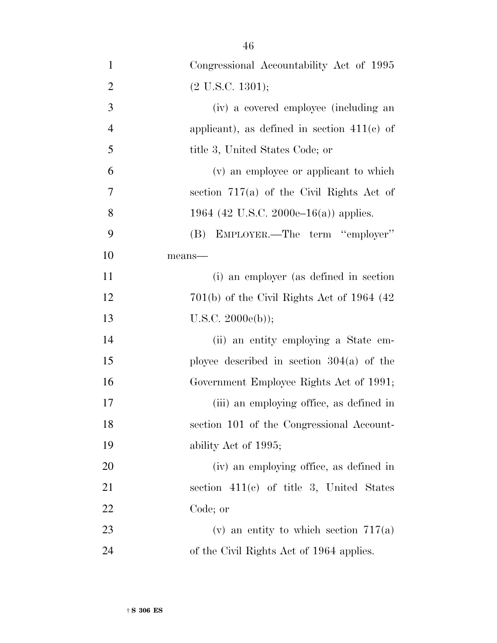| $\mathbf{1}$   | Congressional Accountability Act of 1995      |
|----------------|-----------------------------------------------|
| $\overline{2}$ | $(2$ U.S.C. 1301);                            |
| 3              | (iv) a covered employee (including an         |
| $\overline{4}$ | applicant), as defined in section $411(c)$ of |
| 5              | title 3, United States Code; or               |
| 6              | (v) an employee or applicant to which         |
| 7              | section $717(a)$ of the Civil Rights Act of   |
| 8              | 1964 (42 U.S.C. 2000e–16(a)) applies.         |
| 9              | (B) EMPLOYER.—The term "employer"             |
| 10             | means-                                        |
| <sup>11</sup>  | (i) an employer (as defined in section        |
| 12             | $701(b)$ of the Civil Rights Act of 1964 (42) |
| 13             | U.S.C. 2000e(b));                             |
| 14             | (ii) an entity employing a State em-          |
| 15             | ployee described in section $304(a)$ of the   |
| 16             | Government Employee Rights Act of 1991;       |
| 17             | (iii) an employing office, as defined in      |
| 18             | section 101 of the Congressional Account-     |
| 19             | ability Act of 1995;                          |
| 20             | (iv) an employing office, as defined in       |
| 21             | section $411(c)$ of title 3, United States    |
| 22             | Code; or                                      |
| 23             | (v) an entity to which section $717(a)$       |
| 24             | of the Civil Rights Act of 1964 applies.      |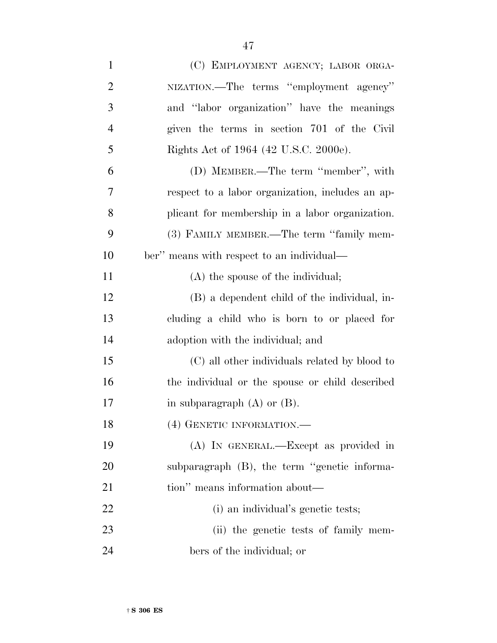| $\mathbf{1}$   | (C) EMPLOYMENT AGENCY; LABOR ORGA-               |
|----------------|--------------------------------------------------|
| $\overline{2}$ | NIZATION.—The terms "employment agency"          |
| 3              | and "labor organization" have the meanings       |
| $\overline{4}$ | given the terms in section 701 of the Civil      |
| 5              | Rights Act of 1964 (42 U.S.C. 2000e).            |
| 6              | (D) MEMBER.—The term "member", with              |
| 7              | respect to a labor organization, includes an ap- |
| 8              | plicant for membership in a labor organization.  |
| 9              | (3) FAMILY MEMBER.—The term "family mem-         |
| 10             | ber" means with respect to an individual—        |
| 11             | (A) the spouse of the individual;                |
| 12             | (B) a dependent child of the individual, in-     |
| 13             | cluding a child who is born to or placed for     |
| 14             | adoption with the individual; and                |
| 15             | (C) all other individuals related by blood to    |
| 16             | the individual or the spouse or child described  |
| 17             | in subparagraph $(A)$ or $(B)$ .                 |
| 18             | (4) GENETIC INFORMATION.                         |
| 19             | (A) IN GENERAL.—Except as provided in            |
| 20             | subparagraph (B), the term "genetic informa-     |
| 21             | tion" means information about—                   |
| 22             | (i) an individual's genetic tests;               |
| 23             | (ii) the genetic tests of family mem-            |
| 24             | bers of the individual; or                       |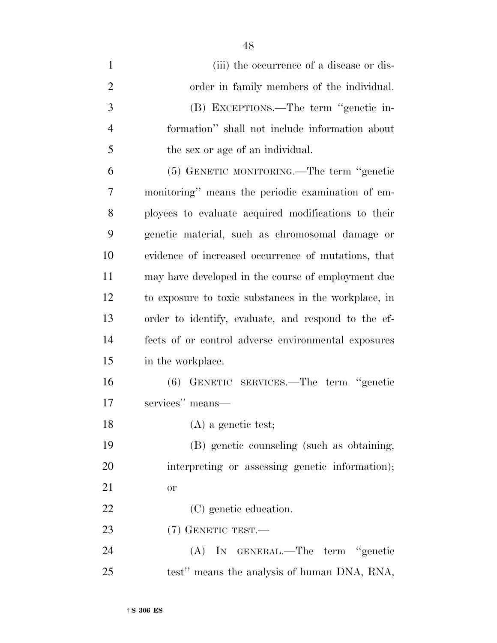1 (iii) the occurrence of a disease or dis- order in family members of the individual. (B) EXCEPTIONS.—The term ''genetic in- formation'' shall not include information about the sex or age of an individual. (5) GENETIC MONITORING.—The term ''genetic monitoring'' means the periodic examination of em- ployees to evaluate acquired modifications to their genetic material, such as chromosomal damage or evidence of increased occurrence of mutations, that may have developed in the course of employment due to exposure to toxic substances in the workplace, in order to identify, evaluate, and respond to the ef- fects of or control adverse environmental exposures in the workplace. (6) GENETIC SERVICES.—The term ''genetic services'' means— 18 (A) a genetic test; (B) genetic counseling (such as obtaining, interpreting or assessing genetic information); or 22 (C) genetic education. (7) GENETIC TEST.— (A) IN GENERAL.—The term ''genetic test'' means the analysis of human DNA, RNA,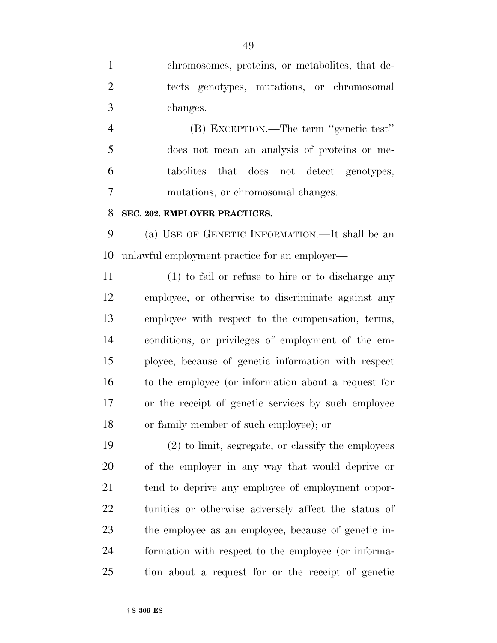chromosomes, proteins, or metabolites, that de- tects genotypes, mutations, or chromosomal changes.

 (B) EXCEPTION.—The term ''genetic test'' does not mean an analysis of proteins or me- tabolites that does not detect genotypes, mutations, or chromosomal changes.

#### **SEC. 202. EMPLOYER PRACTICES.**

 (a) USE OF GENETIC INFORMATION.—It shall be an unlawful employment practice for an employer—

 (1) to fail or refuse to hire or to discharge any employee, or otherwise to discriminate against any employee with respect to the compensation, terms, conditions, or privileges of employment of the em- ployee, because of genetic information with respect to the employee (or information about a request for or the receipt of genetic services by such employee or family member of such employee); or

 (2) to limit, segregate, or classify the employees of the employer in any way that would deprive or 21 tend to deprive any employee of employment oppor- tunities or otherwise adversely affect the status of the employee as an employee, because of genetic in- formation with respect to the employee (or informa-tion about a request for or the receipt of genetic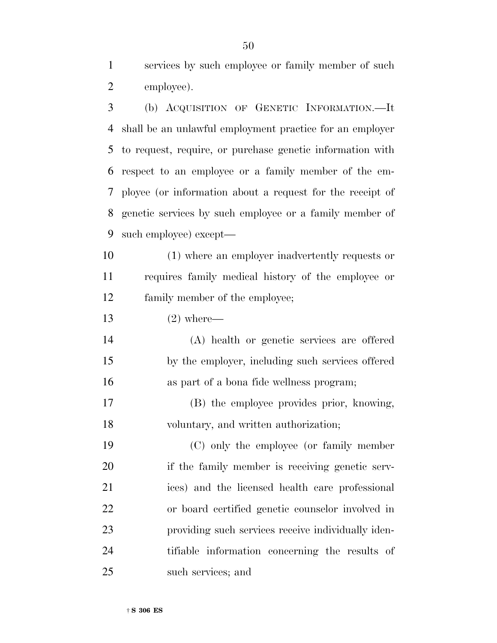services by such employee or family member of such employee).

 (b) ACQUISITION OF GENETIC INFORMATION.—It shall be an unlawful employment practice for an employer to request, require, or purchase genetic information with respect to an employee or a family member of the em- ployee (or information about a request for the receipt of genetic services by such employee or a family member of such employee) except—

 (1) where an employer inadvertently requests or requires family medical history of the employee or family member of the employee;

(2) where—

 (A) health or genetic services are offered by the employer, including such services offered as part of a bona fide wellness program;

 (B) the employee provides prior, knowing, voluntary, and written authorization;

 (C) only the employee (or family member if the family member is receiving genetic serv- ices) and the licensed health care professional or board certified genetic counselor involved in providing such services receive individually iden- tifiable information concerning the results of such services; and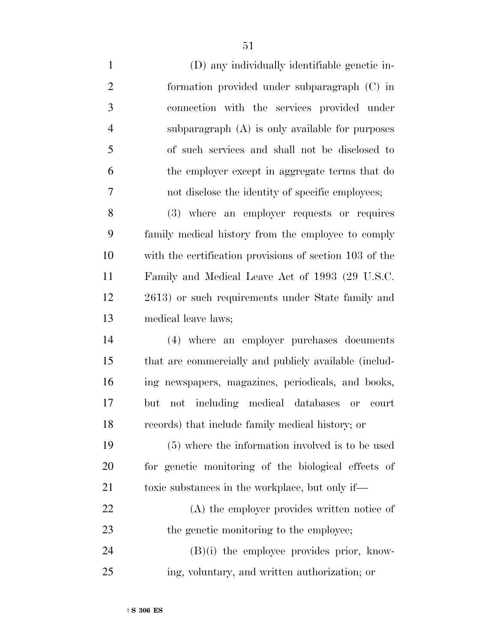| $\mathbf{1}$   | (D) any individually identifiable genetic in-           |
|----------------|---------------------------------------------------------|
| $\overline{2}$ | formation provided under subparagraph (C) in            |
| 3              | connection with the services provided under             |
| $\overline{4}$ | subparagraph (A) is only available for purposes         |
| 5              | of such services and shall not be disclosed to          |
| 6              | the employer except in aggregate terms that do          |
| 7              | not disclose the identity of specific employees;        |
| 8              | (3) where an employer requests or requires              |
| 9              | family medical history from the employee to comply      |
| 10             | with the certification provisions of section 103 of the |
| 11             | Family and Medical Leave Act of 1993 (29 U.S.C.         |
| 12             | 2613) or such requirements under State family and       |
| 13             | medical leave laws;                                     |
| 14             | (4) where an employer purchases documents               |
| 15             | that are commercially and publicly available (includ-   |
| 16             | ing newspapers, magazines, periodicals, and books,      |
| 17             | not including medical databases or<br>but<br>court      |
| 18             | records) that include family medical history; or        |
| 19             | (5) where the information involved is to be used        |
| 20             | for genetic monitoring of the biological effects of     |
| 21             | toxic substances in the workplace, but only if—         |
| 22             | (A) the employer provides written notice of             |
| 23             | the genetic monitoring to the employee;                 |
| 24             | $(B)(i)$ the employee provides prior, know-             |
| 25             | ing, voluntary, and written authorization; or           |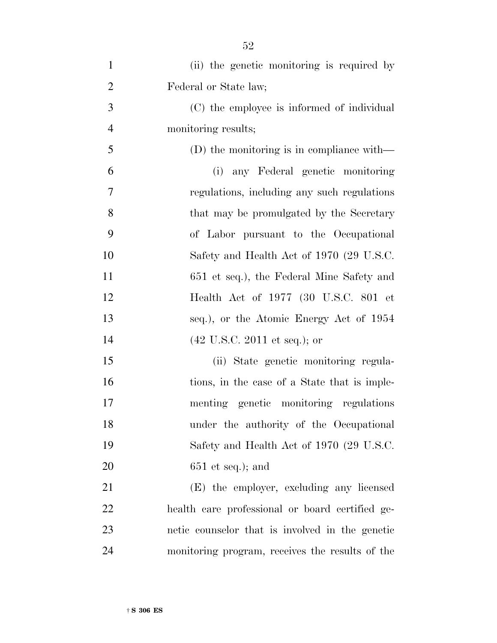| $\mathbf{1}$   | (ii) the genetic monitoring is required by      |
|----------------|-------------------------------------------------|
| $\overline{2}$ | Federal or State law;                           |
| 3              | (C) the employee is informed of individual      |
| $\overline{4}$ | monitoring results;                             |
| 5              | $(D)$ the monitoring is in compliance with—     |
| 6              | (i) any Federal genetic monitoring              |
| 7              | regulations, including any such regulations     |
| 8              | that may be promulgated by the Secretary        |
| 9              | of Labor pursuant to the Occupational           |
| 10             | Safety and Health Act of 1970 (29 U.S.C.        |
| 11             | 651 et seq.), the Federal Mine Safety and       |
| 12             | Health Act of 1977 (30 U.S.C. 801 et            |
| 13             | seq.), or the Atomic Energy Act of 1954         |
| 14             | $(42 \text{ U.S.C. } 2011 \text{ et seq.});$ or |
| 15             | (ii) State genetic monitoring regula-           |
| 16             | tions, in the case of a State that is imple-    |
| 17             | menting genetic monitoring regulations          |
| 18             | under the authority of the Occupational         |
| 19             | Safety and Health Act of 1970 (29 U.S.C.        |
| 20             | $651$ et seq.); and                             |
| 21             | (E) the employer, excluding any licensed        |
| 22             | health care professional or board certified ge- |
| 23             | netic counselor that is involved in the genetic |
| 24             | monitoring program, receives the results of the |

† **S 306 ES**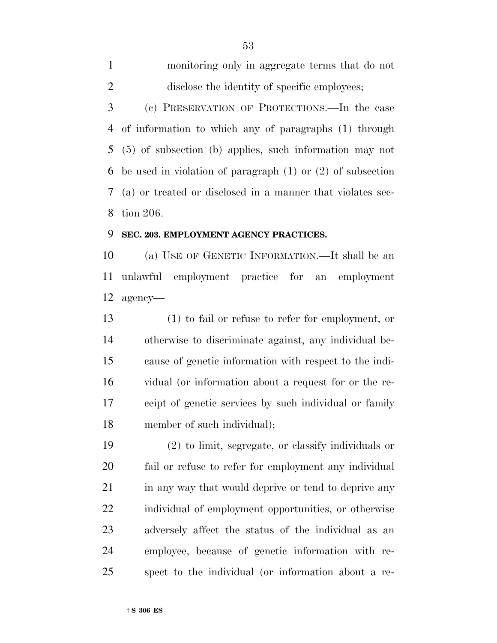monitoring only in aggregate terms that do not 2 disclose the identity of specific employees; (c) PRESERVATION OF PROTECTIONS.—In the case of information to which any of paragraphs (1) through (5) of subsection (b) applies, such information may not be used in violation of paragraph (1) or (2) of subsection (a) or treated or disclosed in a manner that violates sec-tion 206.

## **SEC. 203. EMPLOYMENT AGENCY PRACTICES.**

 (a) USE OF GENETIC INFORMATION.—It shall be an unlawful employment practice for an employment agency—

 (1) to fail or refuse to refer for employment, or otherwise to discriminate against, any individual be- cause of genetic information with respect to the indi- vidual (or information about a request for or the re- ceipt of genetic services by such individual or family member of such individual);

 (2) to limit, segregate, or classify individuals or fail or refuse to refer for employment any individual 21 in any way that would deprive or tend to deprive any individual of employment opportunities, or otherwise adversely affect the status of the individual as an employee, because of genetic information with re-spect to the individual (or information about a re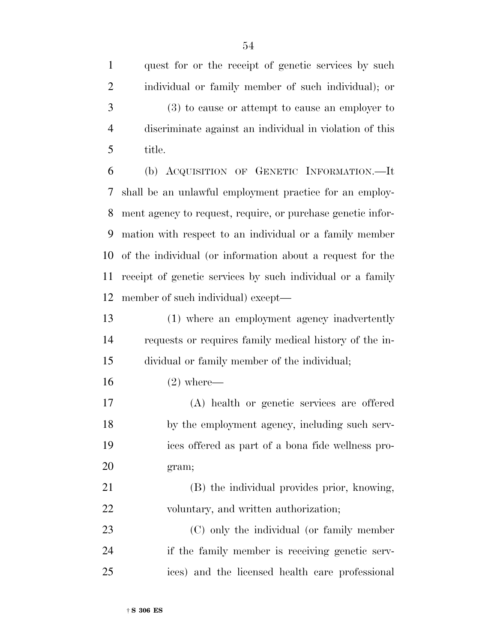quest for or the receipt of genetic services by such individual or family member of such individual); or (3) to cause or attempt to cause an employer to discriminate against an individual in violation of this title.

 (b) ACQUISITION OF GENETIC INFORMATION.—It shall be an unlawful employment practice for an employ- ment agency to request, require, or purchase genetic infor- mation with respect to an individual or a family member of the individual (or information about a request for the receipt of genetic services by such individual or a family member of such individual) except—

 (1) where an employment agency inadvertently requests or requires family medical history of the in-dividual or family member of the individual;

(2) where—

 (A) health or genetic services are offered by the employment agency, including such serv- ices offered as part of a bona fide wellness pro-gram;

 (B) the individual provides prior, knowing, 22 voluntary, and written authorization;

 (C) only the individual (or family member if the family member is receiving genetic serv-ices) and the licensed health care professional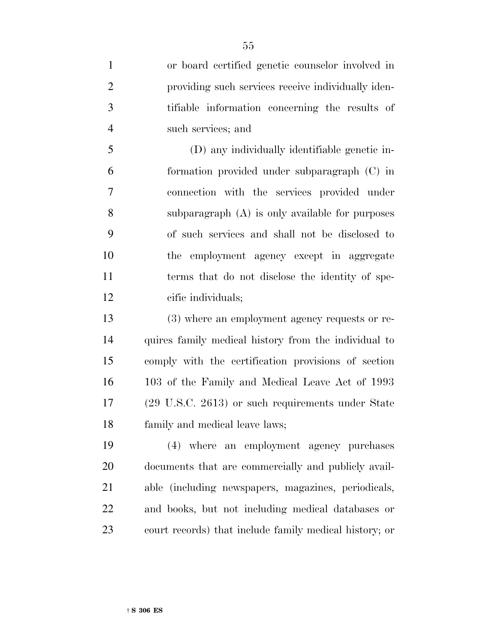| $\mathbf{1}$   | or board certified genetic counselor involved in             |
|----------------|--------------------------------------------------------------|
| $\overline{2}$ | providing such services receive individually iden-           |
| 3              | tifiable information concerning the results of               |
| $\overline{4}$ | such services; and                                           |
| 5              | (D) any individually identifiable genetic in-                |
| 6              | formation provided under subparagraph (C) in                 |
| $\tau$         | connection with the services provided under                  |
| 8              | subparagraph (A) is only available for purposes              |
| 9              | of such services and shall not be disclosed to               |
| 10             | the employment agency except in aggregate                    |
| 11             | terms that do not disclose the identity of spe-              |
| 12             | cific individuals;                                           |
|                |                                                              |
| 13             | (3) where an employment agency requests or re-               |
| 14             | quires family medical history from the individual to         |
| 15             | comply with the certification provisions of section          |
| 16             | 103 of the Family and Medical Leave Act of 1993              |
| 17             | $(29 \text{ U.S.C. } 2613)$ or such requirements under State |
| 18             | family and medical leave laws;                               |
| 19             | (4) where an employment agency purchases                     |
| 20             | documents that are commercially and publicly avail-          |
| 21             | able (including newspapers, magazines, periodicals,          |
| 22             | and books, but not including medical databases or            |

court records) that include family medical history; or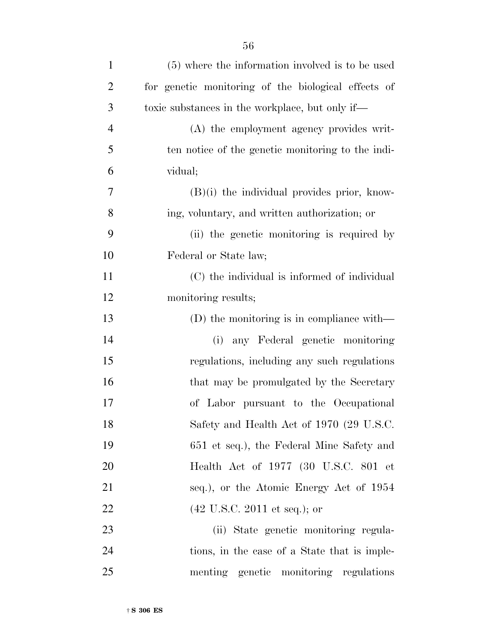| $\mathbf{1}$   | (5) where the information involved is to be used    |
|----------------|-----------------------------------------------------|
| $\overline{2}$ | for genetic monitoring of the biological effects of |
| 3              | toxic substances in the workplace, but only if—     |
| $\overline{4}$ | (A) the employment agency provides writ-            |
| 5              | ten notice of the genetic monitoring to the indi-   |
| 6              | vidual;                                             |
| 7              | $(B)(i)$ the individual provides prior, know-       |
| 8              | ing, voluntary, and written authorization; or       |
| 9              | (ii) the genetic monitoring is required by          |
| 10             | Federal or State law;                               |
| 11             | (C) the individual is informed of individual        |
| 12             | monitoring results;                                 |
| 13             | (D) the monitoring is in compliance with—           |
| 14             | (i) any Federal genetic monitoring                  |
| 15             | regulations, including any such regulations         |
| 16             | that may be promulgated by the Secretary            |
| 17             | of Labor pursuant to the Occupational               |
| 18             | Safety and Health Act of 1970 (29 U.S.C.            |
| 19             | 651 et seq.), the Federal Mine Safety and           |
| 20             | Health Act of 1977 (30 U.S.C. 801 et                |
| 21             | seq.), or the Atomic Energy Act of 1954             |
| 22             | $(42 \text{ U.S.C. } 2011 \text{ et seq.});$ or     |
| 23             | (ii) State genetic monitoring regula-               |
| 24             | tions, in the case of a State that is imple-        |
| 25             | menting genetic monitoring regulations              |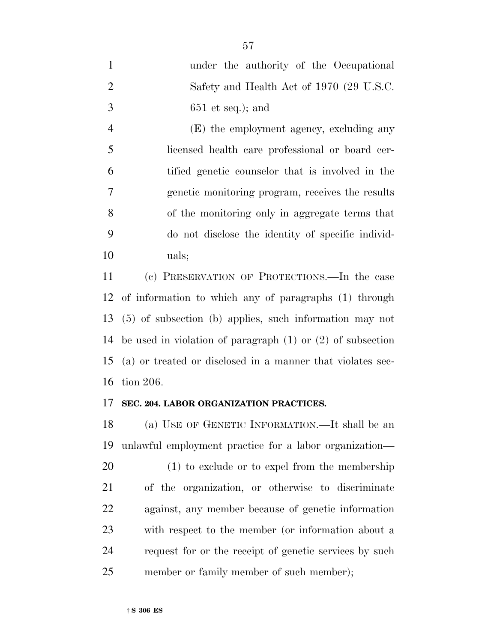| $\mathbf{1}$   | under the authority of the Occupational                           |
|----------------|-------------------------------------------------------------------|
| $\overline{2}$ | Safety and Health Act of 1970 (29 U.S.C.                          |
| 3              | $651$ et seq.); and                                               |
| $\overline{4}$ | (E) the employment agency, excluding any                          |
| 5              | licensed health care professional or board cer-                   |
| 6              | tified genetic counselor that is involved in the                  |
| $\overline{7}$ | genetic monitoring program, receives the results                  |
| 8              | of the monitoring only in aggregate terms that                    |
| 9              | do not disclose the identity of specific individ-                 |
| 10             | uals;                                                             |
| 11             | (c) PRESERVATION OF PROTECTIONS.—In the case                      |
|                | 12 of information to which any of paragraphs (1) through          |
|                | 13 (5) of subsection (b) applies, such information may not        |
|                | 14 be used in violation of paragraph $(1)$ or $(2)$ of subsection |

 (a) or treated or disclosed in a manner that violates sec-tion 206.

## **SEC. 204. LABOR ORGANIZATION PRACTICES.**

 (a) USE OF GENETIC INFORMATION.—It shall be an unlawful employment practice for a labor organization— (1) to exclude or to expel from the membership of the organization, or otherwise to discriminate against, any member because of genetic information with respect to the member (or information about a request for or the receipt of genetic services by such 25 member or family member of such member);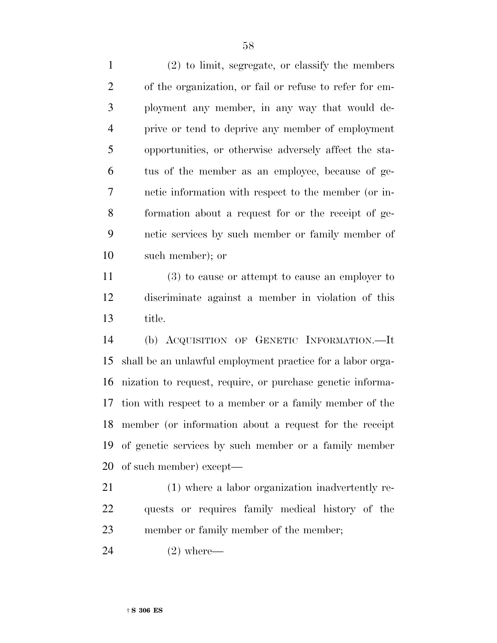(2) to limit, segregate, or classify the members of the organization, or fail or refuse to refer for em- ployment any member, in any way that would de- prive or tend to deprive any member of employment opportunities, or otherwise adversely affect the sta- tus of the member as an employee, because of ge- netic information with respect to the member (or in- formation about a request for or the receipt of ge- netic services by such member or family member of such member); or

 (3) to cause or attempt to cause an employer to discriminate against a member in violation of this title.

 (b) ACQUISITION OF GENETIC INFORMATION.—It shall be an unlawful employment practice for a labor orga- nization to request, require, or purchase genetic informa- tion with respect to a member or a family member of the member (or information about a request for the receipt of genetic services by such member or a family member of such member) except—

 (1) where a labor organization inadvertently re- quests or requires family medical history of the member or family member of the member;

(2) where—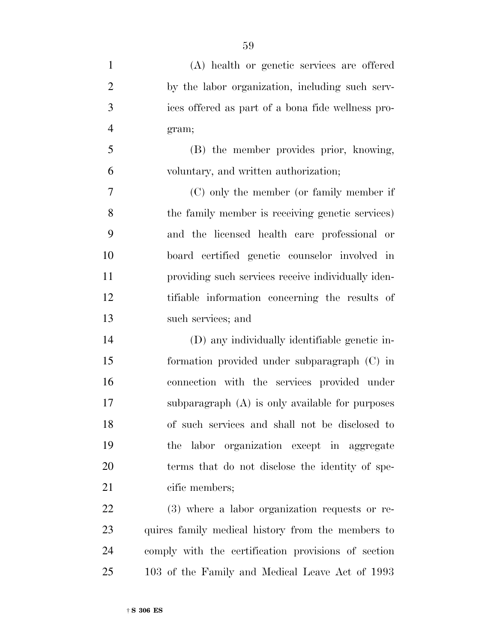| $\mathbf{1}$   | (A) health or genetic services are offered         |
|----------------|----------------------------------------------------|
| $\overline{2}$ | by the labor organization, including such serv-    |
| 3              | ices offered as part of a bona fide wellness pro-  |
| $\overline{4}$ | gram;                                              |
| 5              | (B) the member provides prior, knowing,            |
| 6              | voluntary, and written authorization;              |
| 7              | (C) only the member (or family member if           |
| 8              | the family member is receiving genetic services)   |
| 9              | and the licensed health care professional or       |
| 10             | board certified genetic counselor involved in      |
| 11             | providing such services receive individually iden- |
| 12             | tifiable information concerning the results of     |
| 13             | such services; and                                 |
| 14             | (D) any individually identifiable genetic in-      |
| 15             | formation provided under subparagraph (C) in       |
| 16             | connection with the services provided under        |
| 17             | subparagraph (A) is only available for purposes    |
| 18             | of such services and shall not be disclosed to     |
| 19             | the labor organization except in aggregate         |
| 20             | terms that do not disclose the identity of spe-    |
| 21             | cific members;                                     |
| <u>22</u>      | (3) where a labor organization requests or re-     |
| 23             | quires family medical history from the members to  |

 comply with the certification provisions of section 103 of the Family and Medical Leave Act of 1993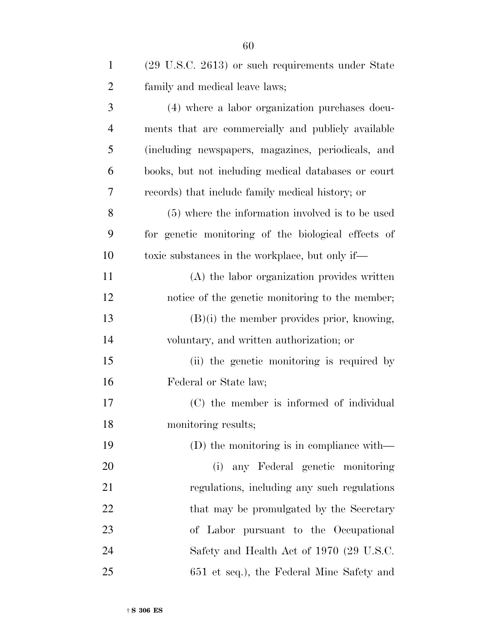| $\mathbf{1}$   | (29 U.S.C. 2613) or such requirements under State   |
|----------------|-----------------------------------------------------|
| $\overline{2}$ | family and medical leave laws;                      |
| 3              | (4) where a labor organization purchases docu-      |
| $\overline{4}$ | ments that are commercially and publicly available  |
| 5              | (including newspapers, magazines, periodicals, and  |
| 6              | books, but not including medical databases or court |
| 7              | records) that include family medical history; or    |
| 8              | (5) where the information involved is to be used    |
| 9              | for genetic monitoring of the biological effects of |
| 10             | toxic substances in the workplace, but only if—     |
| 11             | (A) the labor organization provides written         |
| 12             | notice of the genetic monitoring to the member;     |
| 13             | $(B)(i)$ the member provides prior, knowing,        |
| 14             | voluntary, and written authorization; or            |
| 15             | (ii) the genetic monitoring is required by          |
| 16             | Federal or State law;                               |
| 17             | (C) the member is informed of individual            |
| 18             | monitoring results;                                 |
| 19             | (D) the monitoring is in compliance with—           |
| 20             | any Federal genetic monitoring<br>(i)               |
| 21             | regulations, including any such regulations         |
| 22             | that may be promulgated by the Secretary            |
| 23             | of Labor pursuant to the Occupational               |
| 24             | Safety and Health Act of 1970 (29 U.S.C.            |
| 25             | 651 et seq.), the Federal Mine Safety and           |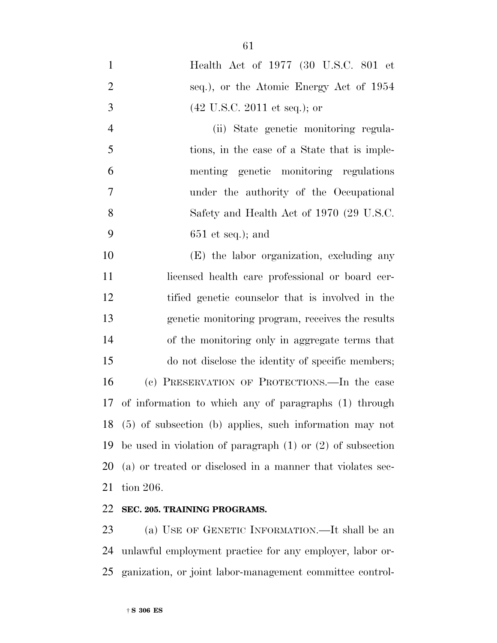Health Act of 1977 (30 U.S.C. 801 et seq.), or the Atomic Energy Act of 1954 (42 U.S.C. 2011 et seq.); or (ii) State genetic monitoring regula- tions, in the case of a State that is imple- menting genetic monitoring regulations under the authority of the Occupational 8 Safety and Health Act of 1970 (29 U.S.C.

651 et seq.); and

 (E) the labor organization, excluding any licensed health care professional or board cer- tified genetic counselor that is involved in the genetic monitoring program, receives the results of the monitoring only in aggregate terms that do not disclose the identity of specific members; (c) PRESERVATION OF PROTECTIONS.—In the case of information to which any of paragraphs (1) through (5) of subsection (b) applies, such information may not be used in violation of paragraph (1) or (2) of subsection (a) or treated or disclosed in a manner that violates sec-tion 206.

## **SEC. 205. TRAINING PROGRAMS.**

 (a) USE OF GENETIC INFORMATION.—It shall be an unlawful employment practice for any employer, labor or-ganization, or joint labor-management committee control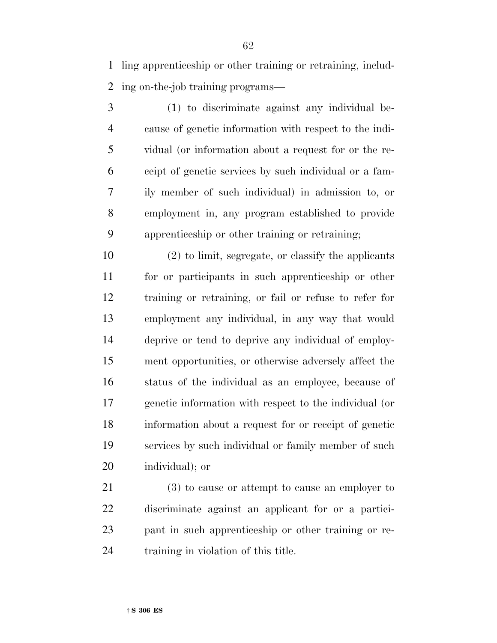ling apprenticeship or other training or retraining, includ-ing on-the-job training programs—

 (1) to discriminate against any individual be- cause of genetic information with respect to the indi- vidual (or information about a request for or the re- ceipt of genetic services by such individual or a fam- ily member of such individual) in admission to, or employment in, any program established to provide apprenticeship or other training or retraining;

 (2) to limit, segregate, or classify the applicants for or participants in such apprenticeship or other training or retraining, or fail or refuse to refer for employment any individual, in any way that would deprive or tend to deprive any individual of employ- ment opportunities, or otherwise adversely affect the status of the individual as an employee, because of genetic information with respect to the individual (or information about a request for or receipt of genetic services by such individual or family member of such individual); or

 (3) to cause or attempt to cause an employer to discriminate against an applicant for or a partici- pant in such apprenticeship or other training or re-training in violation of this title.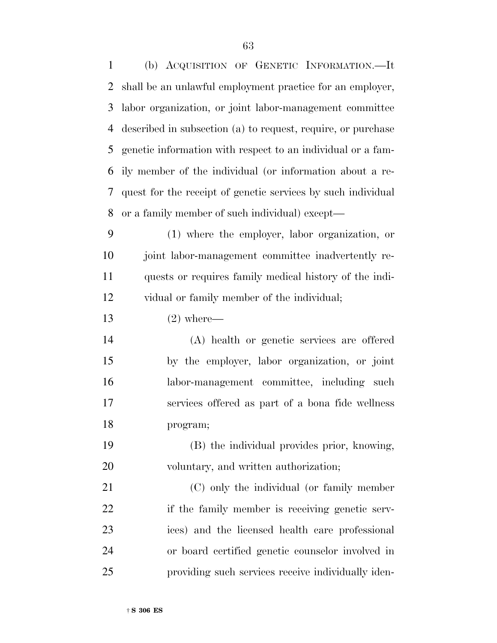(b) ACQUISITION OF GENETIC INFORMATION.—It shall be an unlawful employment practice for an employer, labor organization, or joint labor-management committee described in subsection (a) to request, require, or purchase genetic information with respect to an individual or a fam- ily member of the individual (or information about a re- quest for the receipt of genetic services by such individual or a family member of such individual) except— (1) where the employer, labor organization, or joint labor-management committee inadvertently re- quests or requires family medical history of the indi- vidual or family member of the individual; (2) where— (A) health or genetic services are offered by the employer, labor organization, or joint labor-management committee, including such services offered as part of a bona fide wellness program; (B) the individual provides prior, knowing, 20 voluntary, and written authorization; (C) only the individual (or family member 22 if the family member is receiving genetic serv- ices) and the licensed health care professional or board certified genetic counselor involved in providing such services receive individually iden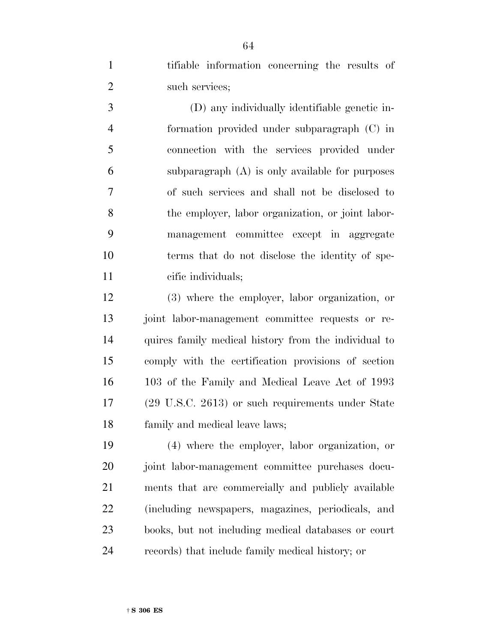tifiable information concerning the results of such services;

 (D) any individually identifiable genetic in- formation provided under subparagraph (C) in connection with the services provided under subparagraph (A) is only available for purposes of such services and shall not be disclosed to the employer, labor organization, or joint labor- management committee except in aggregate terms that do not disclose the identity of spe-cific individuals;

 (3) where the employer, labor organization, or joint labor-management committee requests or re- quires family medical history from the individual to comply with the certification provisions of section 103 of the Family and Medical Leave Act of 1993 (29 U.S.C. 2613) or such requirements under State family and medical leave laws;

 (4) where the employer, labor organization, or 20 joint labor-management committee purchases docu- ments that are commercially and publicly available (including newspapers, magazines, periodicals, and books, but not including medical databases or court records) that include family medical history; or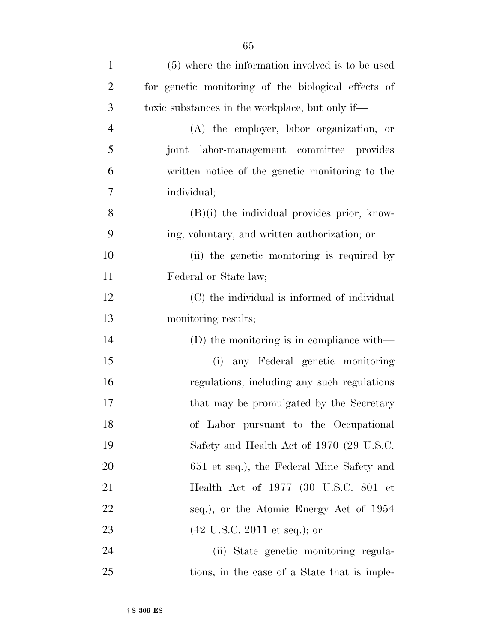| $\mathbf{1}$   | (5) where the information involved is to be used    |
|----------------|-----------------------------------------------------|
| $\overline{2}$ | for genetic monitoring of the biological effects of |
| 3              | toxic substances in the workplace, but only if—     |
| $\overline{4}$ | (A) the employer, labor organization, or            |
| 5              | joint labor-management committee provides           |
| 6              | written notice of the genetic monitoring to the     |
| 7              | individual;                                         |
| 8              | $(B)(i)$ the individual provides prior, know-       |
| 9              | ing, voluntary, and written authorization; or       |
| 10             | (ii) the genetic monitoring is required by          |
| 11             | Federal or State law;                               |
| 12             | (C) the individual is informed of individual        |
| 13             | monitoring results;                                 |
| 14             | (D) the monitoring is in compliance with—           |
| 15             | any Federal genetic monitoring<br>(i)               |
| 16             | regulations, including any such regulations         |
| 17             | that may be promulgated by the Secretary            |
| 18             | of Labor pursuant to the Occupational               |
| 19             | Safety and Health Act of 1970 (29 U.S.C.            |
| <b>20</b>      | 651 et seq.), the Federal Mine Safety and           |
| 21             | Health Act of 1977 (30 U.S.C. 801 et                |
| 22             | seq.), or the Atomic Energy Act of 1954             |
| 23             | $(42 \text{ U.S.C. } 2011 \text{ et seq.});$ or     |
| 24             | (ii) State genetic monitoring regula-               |
| 25             | tions, in the case of a State that is imple-        |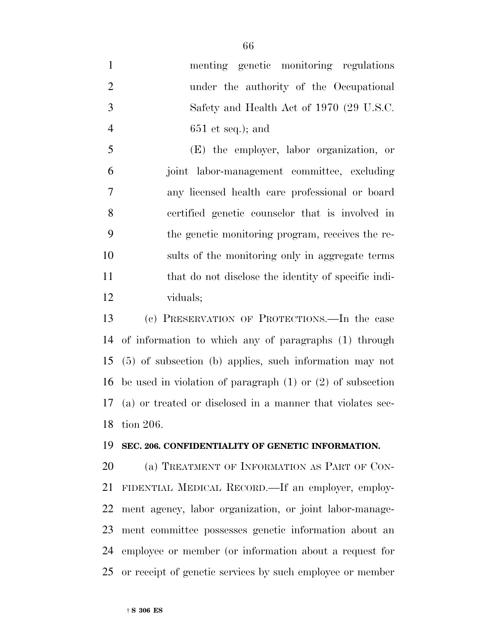menting genetic monitoring regulations under the authority of the Occupational Safety and Health Act of 1970 (29 U.S.C. 651 et seq.); and (E) the employer, labor organization, or

 joint labor-management committee, excluding any licensed health care professional or board certified genetic counselor that is involved in the genetic monitoring program, receives the re- sults of the monitoring only in aggregate terms 11 that do not disclose the identity of specific indi-viduals;

 (c) PRESERVATION OF PROTECTIONS.—In the case of information to which any of paragraphs (1) through (5) of subsection (b) applies, such information may not be used in violation of paragraph (1) or (2) of subsection (a) or treated or disclosed in a manner that violates sec-tion 206.

#### **SEC. 206. CONFIDENTIALITY OF GENETIC INFORMATION.**

20 (a) TREATMENT OF INFORMATION AS PART OF CON- FIDENTIAL MEDICAL RECORD.—If an employer, employ- ment agency, labor organization, or joint labor-manage- ment committee possesses genetic information about an employee or member (or information about a request for or receipt of genetic services by such employee or member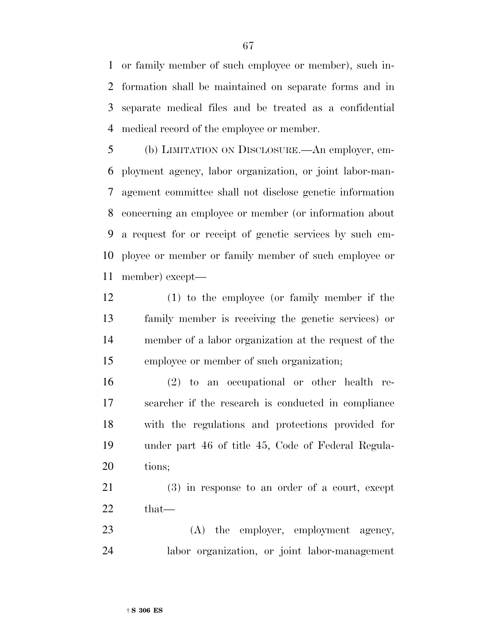or family member of such employee or member), such in- formation shall be maintained on separate forms and in separate medical files and be treated as a confidential medical record of the employee or member.

 (b) LIMITATION ON DISCLOSURE.—An employer, em- ployment agency, labor organization, or joint labor-man- agement committee shall not disclose genetic information concerning an employee or member (or information about a request for or receipt of genetic services by such em- ployee or member or family member of such employee or member) except—

 (1) to the employee (or family member if the family member is receiving the genetic services) or member of a labor organization at the request of the employee or member of such organization;

 (2) to an occupational or other health re- searcher if the research is conducted in compliance with the regulations and protections provided for under part 46 of title 45, Code of Federal Regula-tions;

 (3) in response to an order of a court, except that—

23 (A) the employer, employment agency, labor organization, or joint labor-management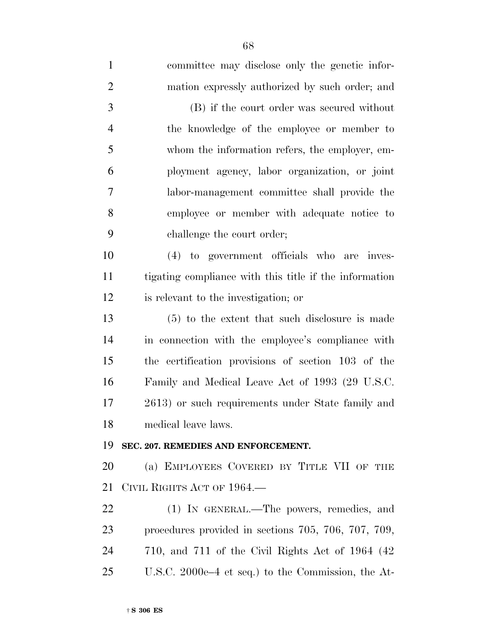| $\mathbf{1}$   | committee may disclose only the genetic infor-           |
|----------------|----------------------------------------------------------|
| $\overline{2}$ | mation expressly authorized by such order; and           |
| 3              | (B) if the court order was secured without               |
| $\overline{4}$ | the knowledge of the employee or member to               |
| 5              | whom the information refers, the employer, em-           |
| 6              | ployment agency, labor organization, or joint            |
| $\overline{7}$ | labor-management committee shall provide the             |
| 8              | employee or member with adequate notice to               |
| 9              | challenge the court order;                               |
| 10             | (4) to government officials who are inves-               |
| 11             | tigating compliance with this title if the information   |
| 12             | is relevant to the investigation; or                     |
| 13             | (5) to the extent that such disclosure is made           |
| 14             | in connection with the employee's compliance with        |
| 15             | the certification provisions of section 103 of the       |
| 16             | Family and Medical Leave Act of 1993 (29 U.S.C.          |
| 17             | 2613) or such requirements under State family and        |
| 18             | medical leave laws.                                      |
| 19             | SEC. 207. REMEDIES AND ENFORCEMENT.                      |
| <b>20</b>      | (a) EMPLOYEES COVERED BY TITLE VII OF THE                |
| 21             | CIVIL RIGHTS ACT OF 1964.—                               |
| 22             | (1) IN GENERAL.—The powers, remedies, and                |
| 23             | procedures provided in sections 705, 706, 707, 709,      |
| 24             | $710$ , and $711$ of the Civil Rights Act of $1964$ (42) |
| 25             | U.S.C. 2000e–4 et seq.) to the Commission, the At-       |
|                |                                                          |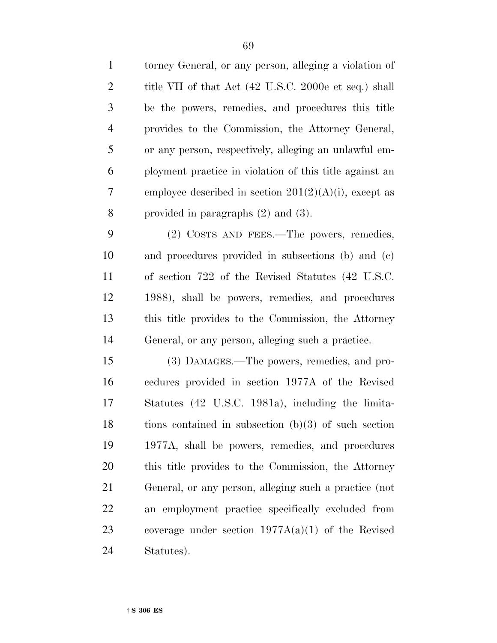| $\mathbf{1}$   | torney General, or any person, alleging a violation of   |
|----------------|----------------------------------------------------------|
| $\overline{2}$ | title VII of that Act (42 U.S.C. 2000e et seq.) shall    |
| 3              | be the powers, remedies, and procedures this title       |
| $\overline{4}$ | provides to the Commission, the Attorney General,        |
| 5              | or any person, respectively, alleging an unlawful em-    |
| 6              | ployment practice in violation of this title against an  |
| 7              | employee described in section $201(2)(A)(i)$ , except as |
| 8              | provided in paragraphs $(2)$ and $(3)$ .                 |
| 9              | (2) COSTS AND FEES.—The powers, remedies,                |
| 10             | and procedures provided in subsections (b) and (c)       |
| 11             | of section 722 of the Revised Statutes (42 U.S.C.        |
| 12             | 1988), shall be powers, remedies, and procedures         |
| 13             | this title provides to the Commission, the Attorney      |
| 14             | General, or any person, alleging such a practice.        |
| 15             | (3) DAMAGES.—The powers, remedies, and pro-              |
| 16             | cedures provided in section 1977A of the Revised         |
| 17             | Statutes (42 U.S.C. 1981a), including the limita-        |
| 18             | tions contained in subsection $(b)(3)$ of such section   |
| 19             | 1977A, shall be powers, remedies, and procedures         |
| 20             | this title provides to the Commission, the Attorney      |
| 21             | General, or any person, alleging such a practice (not    |
| 22             | an employment practice specifically excluded from        |
| 23             | coverage under section $1977A(a)(1)$ of the Revised      |
| 24             | Statutes).                                               |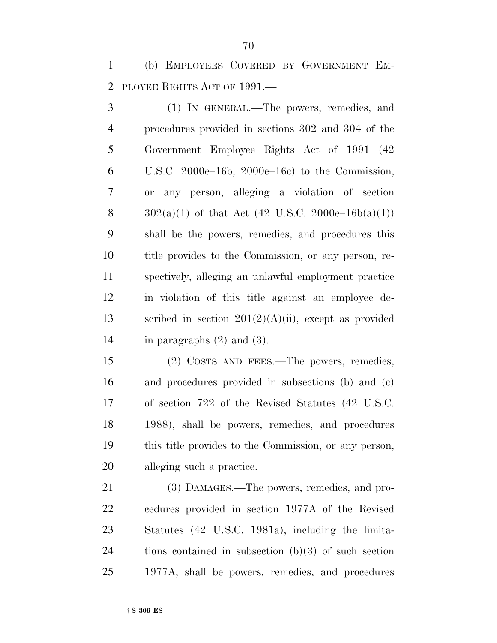(b) EMPLOYEES COVERED BY GOVERNMENT EM-PLOYEE RIGHTS ACT OF 1991.—

 (1) IN GENERAL.—The powers, remedies, and procedures provided in sections 302 and 304 of the Government Employee Rights Act of 1991 (42 U.S.C. 2000e–16b, 2000e–16c) to the Commission, or any person, alleging a violation of section  $302(a)(1)$  of that Act (42 U.S.C. 2000e–16b(a)(1)) shall be the powers, remedies, and procedures this title provides to the Commission, or any person, re- spectively, alleging an unlawful employment practice in violation of this title against an employee de-13 scribed in section  $201(2)(A)(ii)$ , except as provided in paragraphs (2) and (3).

 (2) COSTS AND FEES.—The powers, remedies, and procedures provided in subsections (b) and (c) of section 722 of the Revised Statutes (42 U.S.C. 1988), shall be powers, remedies, and procedures this title provides to the Commission, or any person, alleging such a practice.

 (3) DAMAGES.—The powers, remedies, and pro- cedures provided in section 1977A of the Revised Statutes (42 U.S.C. 1981a), including the limita- tions contained in subsection (b)(3) of such section 1977A, shall be powers, remedies, and procedures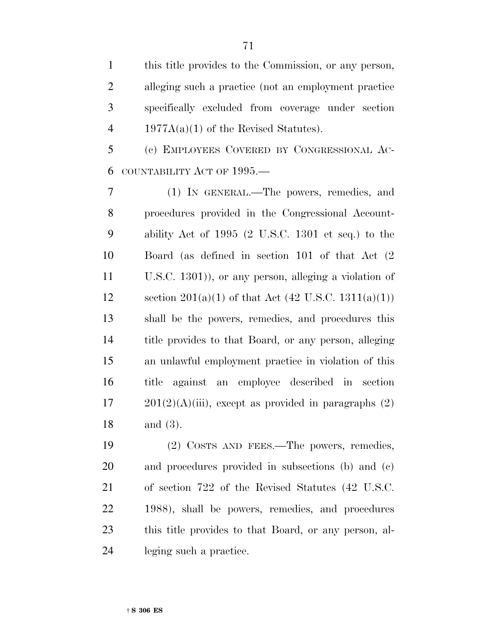this title provides to the Commission, or any person, alleging such a practice (not an employment practice specifically excluded from coverage under section 4 1977A(a)(1) of the Revised Statutes).

 (c) EMPLOYEES COVERED BY CONGRESSIONAL AC-COUNTABILITY ACT OF 1995.—

 (1) IN GENERAL.—The powers, remedies, and procedures provided in the Congressional Account- ability Act of 1995 (2 U.S.C. 1301 et seq.) to the Board (as defined in section 101 of that Act (2 U.S.C. 1301)), or any person, alleging a violation of 12 section  $201(a)(1)$  of that Act  $(42 \text{ U.S.C. } 1311(a)(1))$  shall be the powers, remedies, and procedures this title provides to that Board, or any person, alleging an unlawful employment practice in violation of this title against an employee described in section  $17 \qquad 201(2)(A)(iii)$ , except as provided in paragraphs  $(2)$ and (3).

 (2) COSTS AND FEES.—The powers, remedies, and procedures provided in subsections (b) and (c) of section 722 of the Revised Statutes (42 U.S.C. 1988), shall be powers, remedies, and procedures this title provides to that Board, or any person, al-leging such a practice.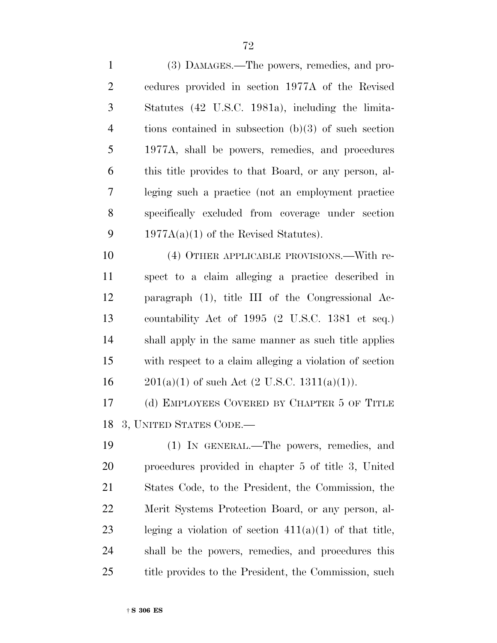(3) DAMAGES.—The powers, remedies, and pro- cedures provided in section 1977A of the Revised Statutes (42 U.S.C. 1981a), including the limita- tions contained in subsection (b)(3) of such section 1977A, shall be powers, remedies, and procedures this title provides to that Board, or any person, al- leging such a practice (not an employment practice specifically excluded from coverage under section 9 1977 $A(a)(1)$  of the Revised Statutes).

 (4) OTHER APPLICABLE PROVISIONS.—With re- spect to a claim alleging a practice described in paragraph (1), title III of the Congressional Ac- countability Act of 1995 (2 U.S.C. 1381 et seq.) shall apply in the same manner as such title applies with respect to a claim alleging a violation of section 16 201(a)(1) of such Act  $(2 \text{ U.S.C. } 1311(a)(1))$ .

 (d) EMPLOYEES COVERED BY CHAPTER 5 OF TITLE 3, UNITED STATES CODE.—

 (1) IN GENERAL.—The powers, remedies, and procedures provided in chapter 5 of title 3, United States Code, to the President, the Commission, the Merit Systems Protection Board, or any person, al- leging a violation of section 411(a)(1) of that title, shall be the powers, remedies, and procedures this 25 title provides to the President, the Commission, such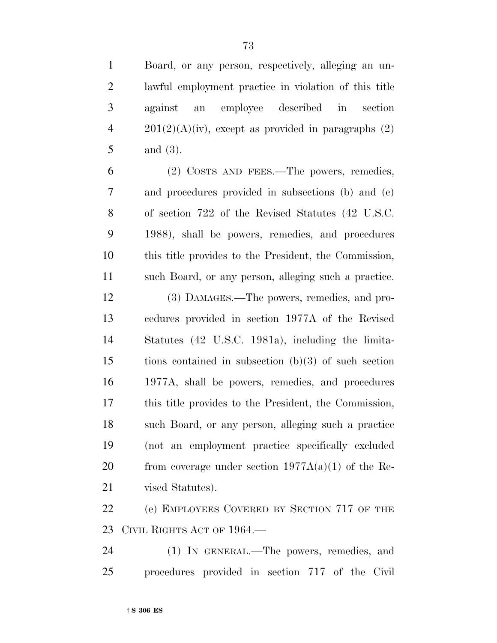| $\mathbf{1}$   | Board, or any person, respectively, alleging an un-    |
|----------------|--------------------------------------------------------|
| $\overline{2}$ | lawful employment practice in violation of this title  |
| $\mathfrak{Z}$ | an employee described in<br>section<br>against         |
| $\overline{4}$ | $201(2)(A)(iv)$ , except as provided in paragraphs (2) |
| 5              | and $(3)$ .                                            |
| 6              | (2) COSTS AND FEES.—The powers, remedies,              |
| 7              | and procedures provided in subsections (b) and (c)     |
| 8              | of section 722 of the Revised Statutes (42 U.S.C.      |
| 9              | 1988), shall be powers, remedies, and procedures       |
| 10             | this title provides to the President, the Commission,  |
| 11             | such Board, or any person, alleging such a practice.   |
| 12             | (3) DAMAGES.—The powers, remedies, and pro-            |
| 13             | cedures provided in section 1977A of the Revised       |
| 14             | Statutes (42 U.S.C. 1981a), including the limita-      |
| 15             | tions contained in subsection $(b)(3)$ of such section |
| 16             | 1977A, shall be powers, remedies, and procedures       |
| 17             | this title provides to the President, the Commission,  |
| 18             | such Board, or any person, alleging such a practice    |
| 19             | (not an employment practice specifically excluded      |
| 20             | from coverage under section $1977A(a)(1)$ of the Re-   |
| 21             | vised Statutes).                                       |
| 22             | (e) EMPLOYEES COVERED BY SECTION 717 OF THE            |
| 23             | CIVIL RIGHTS ACT OF 1964.                              |
| 24             | (1) IN GENERAL.—The powers, remedies, and              |
| 25             | procedures provided in section 717 of the Civil        |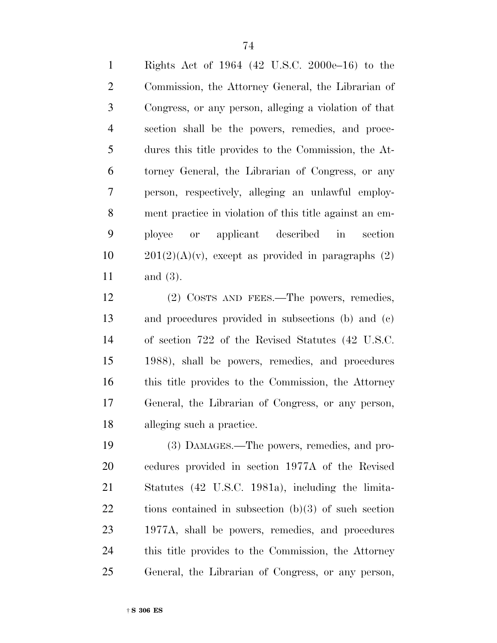Rights Act of 1964 (42 U.S.C. 2000e–16) to the Commission, the Attorney General, the Librarian of Congress, or any person, alleging a violation of that section shall be the powers, remedies, and proce- dures this title provides to the Commission, the At- torney General, the Librarian of Congress, or any person, respectively, alleging an unlawful employ- ment practice in violation of this title against an em- ployee or applicant described in section  $201(2)(A)(v)$ , except as provided in paragraphs (2) and (3).

 (2) COSTS AND FEES.—The powers, remedies, and procedures provided in subsections (b) and (c) of section 722 of the Revised Statutes (42 U.S.C. 1988), shall be powers, remedies, and procedures 16 this title provides to the Commission, the Attorney General, the Librarian of Congress, or any person, alleging such a practice.

 (3) DAMAGES.—The powers, remedies, and pro- cedures provided in section 1977A of the Revised Statutes (42 U.S.C. 1981a), including the limita- tions contained in subsection (b)(3) of such section 1977A, shall be powers, remedies, and procedures this title provides to the Commission, the Attorney General, the Librarian of Congress, or any person,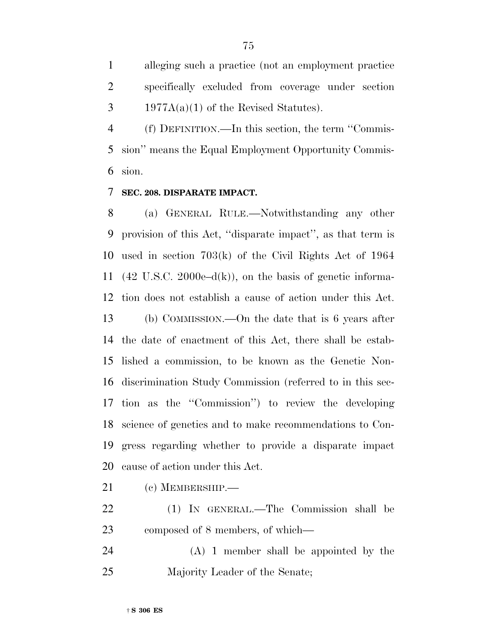alleging such a practice (not an employment practice specifically excluded from coverage under section  $3 \qquad 1977A(a)(1)$  of the Revised Statutes).

 (f) DEFINITION.—In this section, the term ''Commis- sion'' means the Equal Employment Opportunity Commis-sion.

### **SEC. 208. DISPARATE IMPACT.**

 (a) GENERAL RULE.—Notwithstanding any other provision of this Act, ''disparate impact'', as that term is used in section 703(k) of the Civil Rights Act of 1964 (42 U.S.C. 2000e–d(k)), on the basis of genetic informa- tion does not establish a cause of action under this Act. (b) COMMISSION.—On the date that is 6 years after the date of enactment of this Act, there shall be estab- lished a commission, to be known as the Genetic Non- discrimination Study Commission (referred to in this sec- tion as the ''Commission'') to review the developing science of genetics and to make recommendations to Con- gress regarding whether to provide a disparate impact cause of action under this Act.

- (c) MEMBERSHIP.—
- (1) IN GENERAL.—The Commission shall be composed of 8 members, of which—
- (A) 1 member shall be appointed by the Majority Leader of the Senate;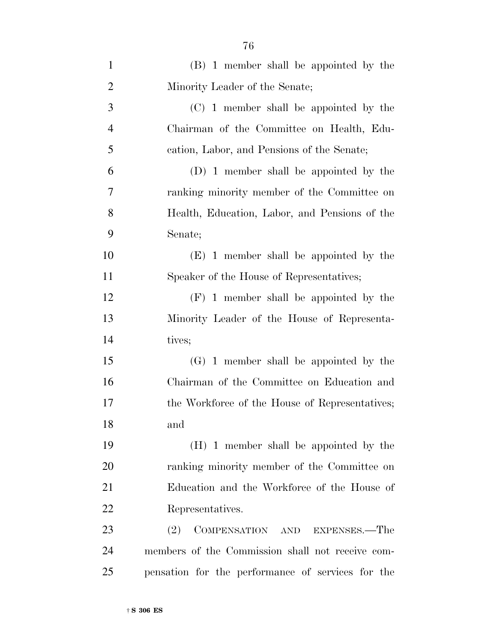| $\mathbf{1}$   | (B) 1 member shall be appointed by the            |
|----------------|---------------------------------------------------|
| $\overline{2}$ | Minority Leader of the Senate;                    |
| 3              | (C) 1 member shall be appointed by the            |
| $\overline{4}$ | Chairman of the Committee on Health, Edu-         |
| 5              | cation, Labor, and Pensions of the Senate;        |
| 6              | (D) 1 member shall be appointed by the            |
| 7              | ranking minority member of the Committee on       |
| 8              | Health, Education, Labor, and Pensions of the     |
| 9              | Senate;                                           |
| 10             | (E) 1 member shall be appointed by the            |
| 11             | Speaker of the House of Representatives;          |
| 12             | $(F)$ 1 member shall be appointed by the          |
| 13             | Minority Leader of the House of Representa-       |
| 14             | tives;                                            |
| 15             | $(G)$ 1 member shall be appointed by the          |
| 16             | Chairman of the Committee on Education and        |
| 17             | the Workforce of the House of Representatives;    |
| 18             | and                                               |
| 19             | (H) 1 member shall be appointed by the            |
| 20             | ranking minority member of the Committee on       |
| 21             | Education and the Workforce of the House of       |
| 22             | Representatives.                                  |
| 23             | (2)<br>COMPENSATION AND EXPENSES.—The             |
| 24             | members of the Commission shall not receive com-  |
| 25             | pensation for the performance of services for the |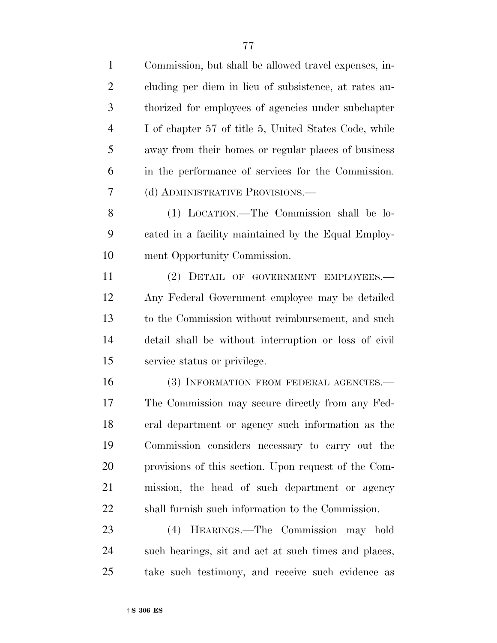| $\mathbf{1}$   | Commission, but shall be allowed travel expenses, in- |
|----------------|-------------------------------------------------------|
| $\overline{2}$ | cluding per diem in lieu of subsistence, at rates au- |
| 3              | thorized for employees of agencies under subchapter   |
| $\overline{4}$ | I of chapter 57 of title 5, United States Code, while |
| 5              | away from their homes or regular places of business   |
| 6              | in the performance of services for the Commission.    |
| 7              | (d) ADMINISTRATIVE PROVISIONS.—                       |
| 8              | (1) LOCATION.—The Commission shall be lo-             |
| 9              | cated in a facility maintained by the Equal Employ-   |
| 10             | ment Opportunity Commission.                          |
| 11             | (2) DETAIL OF GOVERNMENT EMPLOYEES.-                  |
| 12             | Any Federal Government employee may be detailed       |
| 13             | to the Commission without reimbursement, and such     |
| 14             | detail shall be without interruption or loss of civil |
| 15             | service status or privilege.                          |
| 16             | (3) INFORMATION FROM FEDERAL AGENCIES.-               |
| 17             | The Commission may secure directly from any Fed-      |
| 18             | eral department or agency such information as the     |
| 19             | Commission considers necessary to carry out the       |
| 20             | provisions of this section. Upon request of the Com-  |
| 21             | mission, the head of such department or agency        |
| 22             | shall furnish such information to the Commission.     |
| 23             | (4) HEARINGS.—The Commission may hold                 |

 such hearings, sit and act at such times and places, take such testimony, and receive such evidence as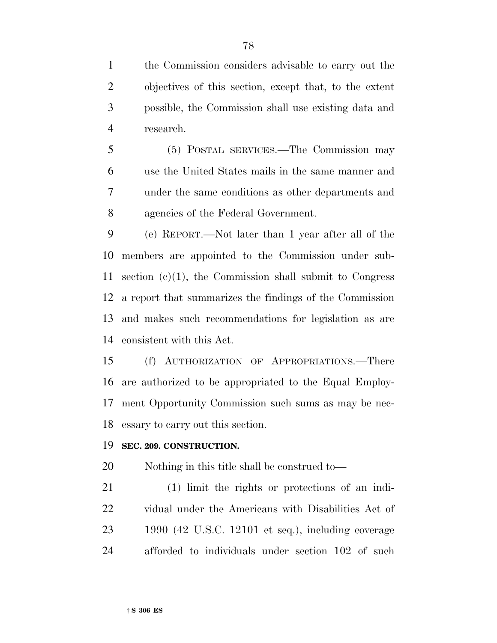the Commission considers advisable to carry out the objectives of this section, except that, to the extent possible, the Commission shall use existing data and research.

 (5) POSTAL SERVICES.—The Commission may use the United States mails in the same manner and under the same conditions as other departments and agencies of the Federal Government.

 (e) REPORT.—Not later than 1 year after all of the members are appointed to the Commission under sub- section (c)(1), the Commission shall submit to Congress a report that summarizes the findings of the Commission and makes such recommendations for legislation as are consistent with this Act.

 (f) AUTHORIZATION OF APPROPRIATIONS.—There are authorized to be appropriated to the Equal Employ- ment Opportunity Commission such sums as may be nec-essary to carry out this section.

#### **SEC. 209. CONSTRUCTION.**

Nothing in this title shall be construed to—

 (1) limit the rights or protections of an indi- vidual under the Americans with Disabilities Act of 1990 (42 U.S.C. 12101 et seq.), including coverage afforded to individuals under section 102 of such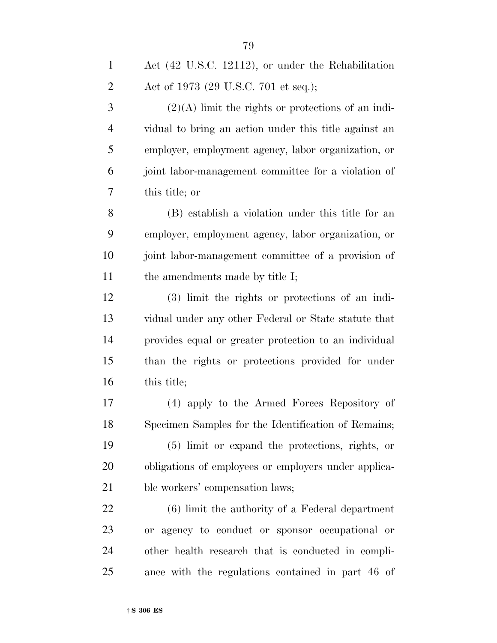| $\mathbf{1}$   | Act (42 U.S.C. 12112), or under the Rehabilitation    |
|----------------|-------------------------------------------------------|
| $\overline{2}$ | Act of 1973 (29 U.S.C. 701 et seq.);                  |
| 3              | $(2)(A)$ limit the rights or protections of an indi-  |
| 4              | vidual to bring an action under this title against an |
| 5              | employer, employment agency, labor organization, or   |
| 6              | joint labor-management committee for a violation of   |
| 7              | this title; or                                        |
| 8              | (B) establish a violation under this title for an     |
| 9              | employer, employment agency, labor organization, or   |
| 10             | joint labor-management committee of a provision of    |
| 11             | the amendments made by title I;                       |
| 12             | (3) limit the rights or protections of an indi-       |
| 13             | vidual under any other Federal or State statute that  |
| 14             | provides equal or greater protection to an individual |
| 15             | than the rights or protections provided for under     |
| 16             | this title;                                           |
| 17             | (4) apply to the Armed Forces Repository of           |
| 18             | Specimen Samples for the Identification of Remains;   |
| 19             | (5) limit or expand the protections, rights, or       |
| 20             | obligations of employees or employers under applica-  |
| 21             | ble workers' compensation laws;                       |
| 22             | $(6)$ limit the authority of a Federal department     |
| 23             | or agency to conduct or sponsor occupational or       |
| 24             | other health research that is conducted in compli-    |
| 25             | ance with the regulations contained in part 46 of     |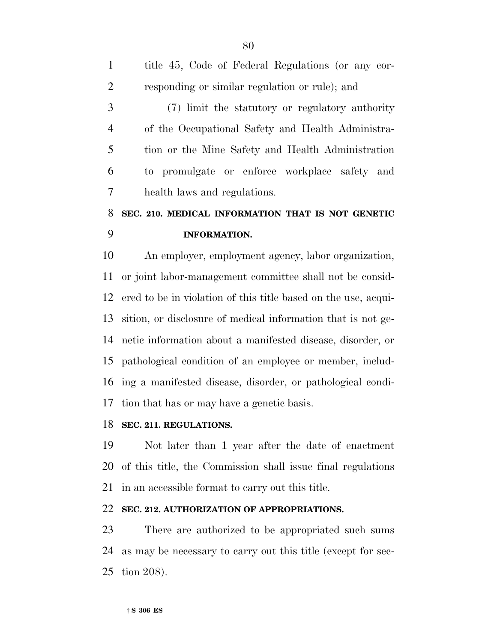title 45, Code of Federal Regulations (or any cor- responding or similar regulation or rule); and (7) limit the statutory or regulatory authority of the Occupational Safety and Health Administra- tion or the Mine Safety and Health Administration to promulgate or enforce workplace safety and health laws and regulations. **SEC. 210. MEDICAL INFORMATION THAT IS NOT GENETIC INFORMATION.** An employer, employment agency, labor organization, or joint labor-management committee shall not be consid- ered to be in violation of this title based on the use, acqui- sition, or disclosure of medical information that is not ge- netic information about a manifested disease, disorder, or pathological condition of an employee or member, includ-ing a manifested disease, disorder, or pathological condi-

tion that has or may have a genetic basis.

# **SEC. 211. REGULATIONS.**

 Not later than 1 year after the date of enactment of this title, the Commission shall issue final regulations in an accessible format to carry out this title.

# **SEC. 212. AUTHORIZATION OF APPROPRIATIONS.**

 There are authorized to be appropriated such sums as may be necessary to carry out this title (except for sec-tion 208).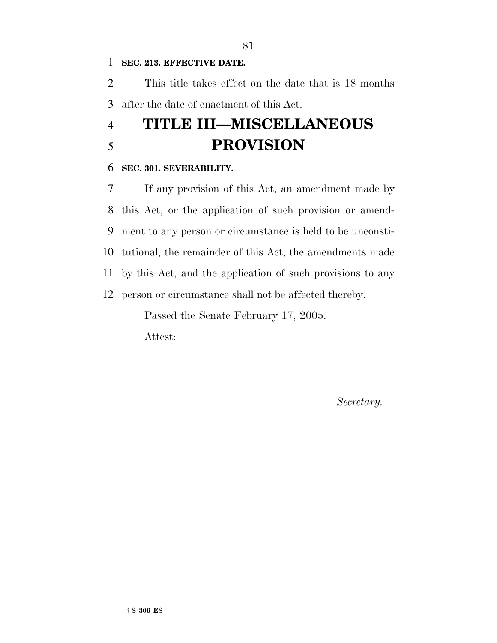#### **SEC. 213. EFFECTIVE DATE.**

 This title takes effect on the date that is 18 months after the date of enactment of this Act.

# **TITLE III—MISCELLANEOUS PROVISION**

#### **SEC. 301. SEVERABILITY.**

 If any provision of this Act, an amendment made by this Act, or the application of such provision or amend- ment to any person or circumstance is held to be unconsti- tutional, the remainder of this Act, the amendments made by this Act, and the application of such provisions to any person or circumstance shall not be affected thereby. Passed the Senate February 17, 2005.

Attest:

*Secretary.*